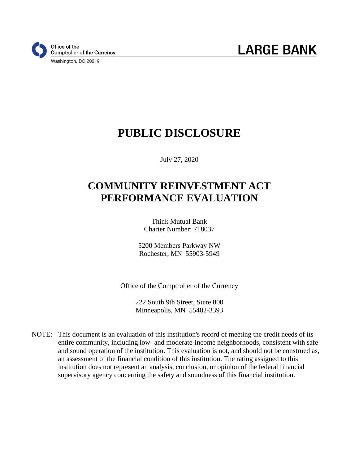

# **PUBLIC DISCLOSURE**

July 27, 2020

# **COMMUNITY REINVESTMENT ACT PERFORMANCE EVALUATION**

Think Mutual Bank Charter Number: 718037

5200 Members Parkway NW Rochester, MN 55903-5949

Office of the Comptroller of the Currency

222 South 9th Street, Suite 800 Minneapolis, MN 55402-3393

NOTE: This document is an evaluation of this institution's record of meeting the credit needs of its entire community, including low- and moderate-income neighborhoods, consistent with safe and sound operation of the institution. This evaluation is not, and should not be construed as, an assessment of the financial condition of this institution. The rating assigned to this institution does not represent an analysis, conclusion, or opinion of the federal financial supervisory agency concerning the safety and soundness of this financial institution.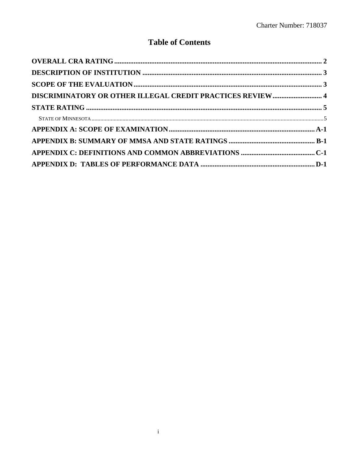## **Table of Contents**

| DISCRIMINATORY OR OTHER ILLEGAL CREDIT PRACTICES REVIEW 4 |  |
|-----------------------------------------------------------|--|
|                                                           |  |
|                                                           |  |
|                                                           |  |
|                                                           |  |
|                                                           |  |
|                                                           |  |
|                                                           |  |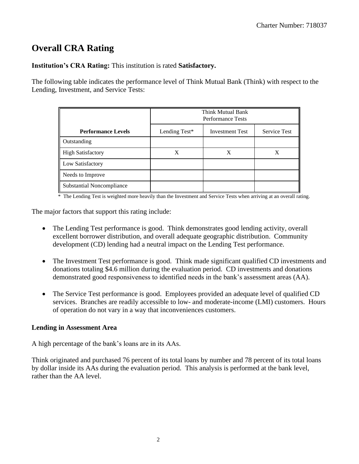## <span id="page-2-0"></span>**Overall CRA Rating**

**Institution's CRA Rating:** This institution is rated **Satisfactory.** 

The following table indicates the performance level of Think Mutual Bank (Think) with respect to the Lending, Investment, and Service Tests:

|                                  | Think Mutual Bank<br><b>Performance Tests</b> |                        |                     |  |  |  |  |  |
|----------------------------------|-----------------------------------------------|------------------------|---------------------|--|--|--|--|--|
| <b>Performance Levels</b>        | Lending Test*                                 | <b>Investment Test</b> | <b>Service Test</b> |  |  |  |  |  |
| Outstanding                      |                                               |                        |                     |  |  |  |  |  |
| <b>High Satisfactory</b>         | X                                             | X                      | X                   |  |  |  |  |  |
| Low Satisfactory                 |                                               |                        |                     |  |  |  |  |  |
| Needs to Improve                 |                                               |                        |                     |  |  |  |  |  |
| <b>Substantial Noncompliance</b> |                                               |                        |                     |  |  |  |  |  |

\* The Lending Test is weighted more heavily than the Investment and Service Tests when arriving at an overall rating.

The major factors that support this rating include:

- The Lending Test performance is good. Think demonstrates good lending activity, overall excellent borrower distribution, and overall adequate geographic distribution. Community development (CD) lending had a neutral impact on the Lending Test performance.
- The Investment Test performance is good. Think made significant qualified CD investments and donations totaling \$4.6 million during the evaluation period. CD investments and donations demonstrated good responsiveness to identified needs in the bank's assessment areas (AA).
- The Service Test performance is good. Employees provided an adequate level of qualified CD services. Branches are readily accessible to low- and moderate-income (LMI) customers. Hours of operation do not vary in a way that inconveniences customers.

#### **Lending in Assessment Area**

A high percentage of the bank's loans are in its AAs.

Think originated and purchased 76 percent of its total loans by number and 78 percent of its total loans by dollar inside its AAs during the evaluation period. This analysis is performed at the bank level, rather than the AA level.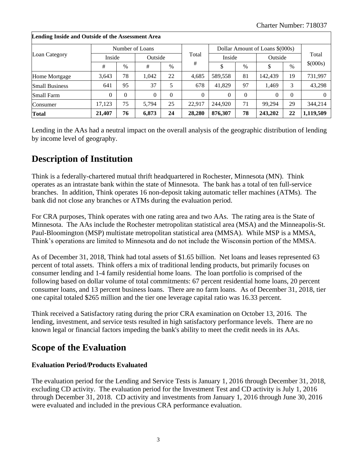|                       | Lending moide and Outside of the Assessment Area |          |                 |               |          |          |          |                                 |          |           |  |  |  |
|-----------------------|--------------------------------------------------|----------|-----------------|---------------|----------|----------|----------|---------------------------------|----------|-----------|--|--|--|
|                       |                                                  |          | Number of Loans |               | Total    |          |          | Dollar Amount of Loans \$(000s) |          | Total     |  |  |  |
| Loan Category         | Inside                                           |          |                 | Outside       |          |          | Inside   |                                 | Outside  |           |  |  |  |
|                       | #                                                | $\%$     | #               | $\frac{0}{0}$ | #        | Φ        | $\%$     | \$                              | $\%$     | \$(000s)  |  |  |  |
| Home Mortgage         | 3,643                                            | 78       | 1,042           | 22            | 4,685    | 589,558  | 81       | 142,439                         | 19       | 731,997   |  |  |  |
| <b>Small Business</b> | 641                                              | 95       | 37              | 5             | 678      | 41,829   | 97       | 1,469                           | 3        | 43,298    |  |  |  |
| <b>Small Farm</b>     | $\Omega$                                         | $\Omega$ | $\theta$        | $\Omega$      | $\Omega$ | $\Omega$ | $\Omega$ | $\Omega$                        | $\Omega$ |           |  |  |  |
| Consumer              | 17.123                                           | 75       | 5.794           | 25            | 22.917   | 244,920  | 71       | 99.294                          | 29       | 344,214   |  |  |  |
| <b>Total</b>          | 21,407                                           | 76       | 6,873           | 24            | 28,280   | 876,307  | 78       | 243,202                         | 22       | 1,119,509 |  |  |  |

## **Lending Inside and Outside of the Assessment Area**

Lending in the AAs had a neutral impact on the overall analysis of the geographic distribution of lending by income level of geography.

## <span id="page-3-0"></span>**Description of Institution**

Think is a federally-chartered mutual thrift headquartered in Rochester, Minnesota (MN). Think operates as an intrastate bank within the state of Minnesota. The bank has a total of ten full-service branches. In addition, Think operates 16 non-deposit taking automatic teller machines (ATMs). The bank did not close any branches or ATMs during the evaluation period.

For CRA purposes, Think operates with one rating area and two AAs. The rating area is the State of Minnesota. The AAs include the Rochester metropolitan statistical area (MSA) and the Minneapolis-St. Paul-Bloomington (MSP) multistate metropolitan statistical area (MMSA). While MSP is a MMSA, Think's operations are limited to Minnesota and do not include the Wisconsin portion of the MMSA.

As of December 31, 2018, Think had total assets of \$1.65 billion. Net loans and leases represented 63 percent of total assets. Think offers a mix of traditional lending products, but primarily focuses on consumer lending and 1-4 family residential home loans. The loan portfolio is comprised of the following based on dollar volume of total commitments: 67 percent residential home loans, 20 percent consumer loans, and 13 percent business loans. There are no farm loans. As of December 31, 2018, tier one capital totaled \$265 million and the tier one leverage capital ratio was 16.33 percent.

Think received a Satisfactory rating during the prior CRA examination on October 13, 2016. The lending, investment, and service tests resulted in high satisfactory performance levels. There are no known legal or financial factors impeding the bank's ability to meet the credit needs in its AAs.

## <span id="page-3-1"></span>**Scope of the Evaluation**

#### **Evaluation Period/Products Evaluated**

The evaluation period for the Lending and Service Tests is January 1, 2016 through December 31, 2018, excluding CD activity. The evaluation period for the Investment Test and CD activity is July 1, 2016 through December 31, 2018. CD activity and investments from January 1, 2016 through June 30, 2016 were evaluated and included in the previous CRA performance evaluation.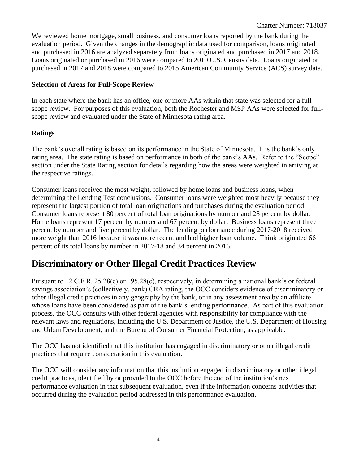We reviewed home mortgage, small business, and consumer loans reported by the bank during the evaluation period. Given the changes in the demographic data used for comparison, loans originated and purchased in 2016 are analyzed separately from loans originated and purchased in 2017 and 2018. Loans originated or purchased in 2016 were compared to 2010 U.S. Census data. Loans originated or purchased in 2017 and 2018 were compared to 2015 American Community Service (ACS) survey data.

#### **Selection of Areas for Full-Scope Review**

In each state where the bank has an office, one or more AAs within that state was selected for a fullscope review. For purposes of this evaluation, both the Rochester and MSP AAs were selected for fullscope review and evaluated under the State of Minnesota rating area.

#### **Ratings**

The bank's overall rating is based on its performance in the State of Minnesota. It is the bank's only rating area. The state rating is based on performance in both of the bank's AAs. Refer to the "Scope" section under the State Rating section for details regarding how the areas were weighted in arriving at the respective ratings.

Consumer loans received the most weight, followed by home loans and business loans, when determining the Lending Test conclusions. Consumer loans were weighted most heavily because they represent the largest portion of total loan originations and purchases during the evaluation period. Consumer loans represent 80 percent of total loan originations by number and 28 percent by dollar. Home loans represent 17 percent by number and 67 percent by dollar. Business loans represent three percent by number and five percent by dollar. The lending performance during 2017-2018 received more weight than 2016 because it was more recent and had higher loan volume. Think originated 66 percent of its total loans by number in 2017-18 and 34 percent in 2016.

## <span id="page-4-0"></span>**Discriminatory or Other Illegal Credit Practices Review**

Pursuant to 12 C.F.R. 25.28(c) or 195.28(c), respectively, in determining a national bank's or federal savings association's (collectively, bank) CRA rating, the OCC considers evidence of discriminatory or other illegal credit practices in any geography by the bank, or in any assessment area by an affiliate whose loans have been considered as part of the bank's lending performance. As part of this evaluation process, the OCC consults with other federal agencies with responsibility for compliance with the relevant laws and regulations, including the U.S. Department of Justice, the U.S. Department of Housing and Urban Development, and the Bureau of Consumer Financial Protection, as applicable.

The OCC has not identified that this institution has engaged in discriminatory or other illegal credit practices that require consideration in this evaluation.

The OCC will consider any information that this institution engaged in discriminatory or other illegal credit practices, identified by or provided to the OCC before the end of the institution's next performance evaluation in that subsequent evaluation, even if the information concerns activities that occurred during the evaluation period addressed in this performance evaluation.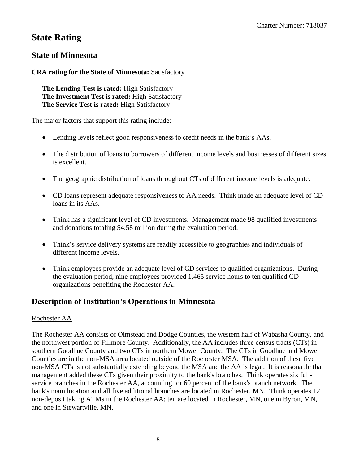## <span id="page-5-0"></span>**State Rating**

## <span id="page-5-1"></span>**State of Minnesota**

### **CRA rating for the State of Minnesota:** Satisfactory

**The Lending Test is rated:** High Satisfactory **The Investment Test is rated:** High Satisfactory **The Service Test is rated:** High Satisfactory

The major factors that support this rating include:

- Lending levels reflect good responsiveness to credit needs in the bank's AAs.
- The distribution of loans to borrowers of different income levels and businesses of different sizes is excellent.
- The geographic distribution of loans throughout CTs of different income levels is adequate.
- CD loans represent adequate responsiveness to AA needs. Think made an adequate level of CD loans in its AAs.
- Think has a significant level of CD investments. Management made 98 qualified investments and donations totaling \$4.58 million during the evaluation period.
- Think's service delivery systems are readily accessible to geographies and individuals of different income levels.
- Think employees provide an adequate level of CD services to qualified organizations. During the evaluation period, nine employees provided 1,465 service hours to ten qualified CD organizations benefiting the Rochester AA.

## **Description of Institution's Operations in Minnesota**

#### Rochester AA

The Rochester AA consists of Olmstead and Dodge Counties, the western half of Wabasha County, and the northwest portion of Fillmore County. Additionally, the AA includes three census tracts (CTs) in southern Goodhue County and two CTs in northern Mower County. The CTs in Goodhue and Mower Counties are in the non-MSA area located outside of the Rochester MSA. The addition of these five non-MSA CTs is not substantially extending beyond the MSA and the AA is legal. It is reasonable that management added these CTs given their proximity to the bank's branches. Think operates six fullservice branches in the Rochester AA, accounting for 60 percent of the bank's branch network. The bank's main location and all five additional branches are located in Rochester, MN. Think operates 12 non-deposit taking ATMs in the Rochester AA; ten are located in Rochester, MN, one in Byron, MN, and one in Stewartville, MN.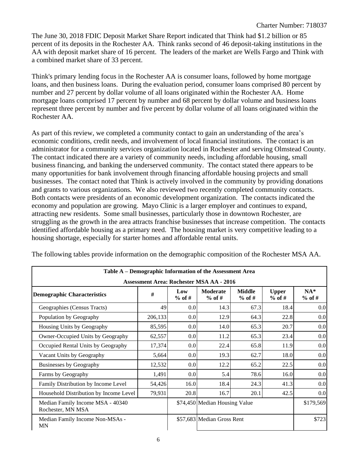The June 30, 2018 FDIC Deposit Market Share Report indicated that Think had \$1.2 billion or 85 percent of its deposits in the Rochester AA. Think ranks second of 46 deposit-taking institutions in the AA with deposit market share of 16 percent. The leaders of the market are Wells Fargo and Think with a combined market share of 33 percent.

Think's primary lending focus in the Rochester AA is consumer loans, followed by home mortgage loans, and then business loans. During the evaluation period, consumer loans comprised 80 percent by number and 27 percent by dollar volume of all loans originated within the Rochester AA. Home mortgage loans comprised 17 percent by number and 68 percent by dollar volume and business loans represent three percent by number and five percent by dollar volume of all loans originated within the Rochester AA.

As part of this review, we completed a community contact to gain an understanding of the area's economic conditions, credit needs, and involvement of local financial institutions. The contact is an administrator for a community services organization located in Rochester and serving Olmstead County. The contact indicated there are a variety of community needs, including affordable housing, small business financing, and banking the underserved community. The contact stated there appears to be many opportunities for bank involvement through financing affordable housing projects and small businesses. The contact noted that Think is actively involved in the community by providing donations and grants to various organizations. We also reviewed two recently completed community contacts. Both contacts were presidents of an economic development organization. The contacts indicated the economy and population are growing. Mayo Clinic is a larger employer and continues to expand, attracting new residents. Some small businesses, particularly those in downtown Rochester, are struggling as the growth in the area attracts franchise businesses that increase competition. The contacts identified affordable housing as a primary need. The housing market is very competitive leading to a housing shortage, especially for starter homes and affordable rental units.

| Table A – Demographic Information of the Assessment Area |         |                  |                                                 |                           |                          |                   |
|----------------------------------------------------------|---------|------------------|-------------------------------------------------|---------------------------|--------------------------|-------------------|
|                                                          |         |                  | <b>Assessment Area: Rochester MSA AA - 2016</b> |                           |                          |                   |
| <b>Demographic Characteristics</b>                       | #       | Low<br>$%$ of #  | <b>Moderate</b><br>$%$ of #                     | <b>Middle</b><br>$%$ of # | <b>Upper</b><br>$%$ of # | $NA*$<br>$%$ of # |
| Geographies (Census Tracts)                              | 49      | 0.0              | 14.3                                            | 67.3                      | 18.4                     | 0.0               |
| Population by Geography                                  | 206,133 | 0.0 <sub>l</sub> | 12.9                                            | 64.3                      | 22.8                     | 0.0               |
| Housing Units by Geography                               | 85,595  | 0.0              | 14.0                                            | 65.3                      | 20.7                     | 0.0               |
| Owner-Occupied Units by Geography                        | 62,557  | 0.0              | 11.2                                            | 65.3                      | 23.4                     | 0.0               |
| Occupied Rental Units by Geography                       | 17,374  | 0.0              | 22.4                                            | 65.8                      | 11.9                     | 0.0               |
| Vacant Units by Geography                                | 5,664   | 0.0              | 19.3                                            | 62.7                      | 18.0                     | 0.0               |
| Businesses by Geography                                  | 12,532  | 0.0              | 12.2                                            | 65.2                      | 22.5                     | 0.0               |
| Farms by Geography                                       | 1,491   | 0.0 <sub>l</sub> | 5.4                                             | 78.6                      | 16.0                     | 0.0               |
| Family Distribution by Income Level                      | 54,426  | 16.0             | 18.4                                            | 24.3                      | 41.3                     | 0.0               |
| Household Distribution by Income Level                   | 79,931  | 20.8             | 16.7                                            | 20.1                      | 42.5                     | 0.0               |
| Median Family Income MSA - 40340<br>Rochester, MN MSA    |         |                  | \$74,450 Median Housing Value                   |                           | \$179,569                |                   |
| Median Family Income Non-MSAs -<br><b>MN</b>             |         |                  | \$57,683 Median Gross Rent                      |                           | \$723                    |                   |

The following tables provide information on the demographic composition of the Rochester MSA AA.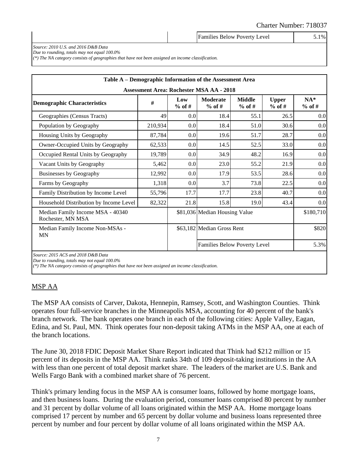|                                                            | <b>Families Below Poverty Level</b> | $0.1\%$ |
|------------------------------------------------------------|-------------------------------------|---------|
| $S_{\text{out}}$ 2010 II $S_{\text{out}}$ 2016 D P.D. Data |                                     |         |

*Source: 2010 U.S. and 2016 D&B Data Due to rounding, totals may not equal 100.0%*

*(\*) The NA category consists of geographies that have not been assigned an income classification.*

| Table A – Demographic Information of the Assessment Area |         |                 |                                                 |                           |                          |                   |
|----------------------------------------------------------|---------|-----------------|-------------------------------------------------|---------------------------|--------------------------|-------------------|
|                                                          |         |                 | <b>Assessment Area: Rochester MSA AA - 2018</b> |                           |                          |                   |
| <b>Demographic Characteristics</b>                       | #       | Low<br>$%$ of # | <b>Moderate</b><br>$%$ of #                     | <b>Middle</b><br>$%$ of # | <b>Upper</b><br>$%$ of # | $NA*$<br>$%$ of # |
| Geographies (Census Tracts)                              | 49      | 0.0             | 18.4                                            | 55.1                      | 26.5                     | 0.0               |
| Population by Geography                                  | 210,934 | 0.0             | 18.4                                            | 51.0                      | 30.6                     | 0.0               |
| Housing Units by Geography                               | 87,784  | 0.0             | 19.6                                            | 51.7                      | 28.7                     | 0.0               |
| Owner-Occupied Units by Geography                        | 14.5    | 52.5            | 33.0                                            | 0.0                       |                          |                   |
| Occupied Rental Units by Geography                       | 19,789  | 0.0             | 34.9                                            | 48.2                      | 16.9                     | 0.0               |
| Vacant Units by Geography                                | 5,462   | 0.0             | 23.0                                            | 55.2                      | 21.9                     | 0.0               |
| Businesses by Geography                                  | 12,992  | 0.0             | 17.9                                            | 53.5                      | 28.6                     | 0.0               |
| Farms by Geography                                       | 1,318   | 0.0             | 3.7                                             | 73.8                      | 22.5                     | 0.0               |
| Family Distribution by Income Level                      | 55,796  | 17.7            | 17.7                                            | 23.8                      | 40.7                     | 0.0               |
| Household Distribution by Income Level                   | 82,322  | 21.8            | 15.8                                            | 19.0                      | 43.4                     | 0.0               |
| Median Family Income MSA - 40340<br>Rochester, MN MSA    |         |                 | \$81,036 Median Housing Value                   |                           |                          | \$180,710         |
| Median Family Income Non-MSAs -<br><b>MN</b>             |         |                 | \$63,182 Median Gross Rent                      | \$820                     |                          |                   |
|                                                          |         |                 | Families Below Poverty Level                    |                           |                          | 5.3%              |
| Source: 2015 ACS and 2018 D&B Data                       |         |                 |                                                 |                           |                          |                   |

*Due to rounding, totals may not equal 100.0%*

*(\*) The NA category consists of geographies that have not been assigned an income classification.*

#### MSP AA

The MSP AA consists of Carver, Dakota, Hennepin, Ramsey, Scott, and Washington Counties. Think operates four full-service branches in the Minneapolis MSA, accounting for 40 percent of the bank's branch network. The bank operates one branch in each of the following cities: Apple Valley, Eagan, Edina, and St. Paul, MN. Think operates four non-deposit taking ATMs in the MSP AA, one at each of the branch locations.

The June 30, 2018 FDIC Deposit Market Share Report indicated that Think had \$212 million or 15 percent of its deposits in the MSP AA. Think ranks 34th of 109 deposit-taking institutions in the AA with less than one percent of total deposit market share. The leaders of the market are U.S. Bank and Wells Fargo Bank with a combined market share of 76 percent.

Think's primary lending focus in the MSP AA is consumer loans, followed by home mortgage loans, and then business loans. During the evaluation period, consumer loans comprised 80 percent by number and 31 percent by dollar volume of all loans originated within the MSP AA. Home mortgage loans comprised 17 percent by number and 65 percent by dollar volume and business loans represented three percent by number and four percent by dollar volume of all loans originated within the MSP AA.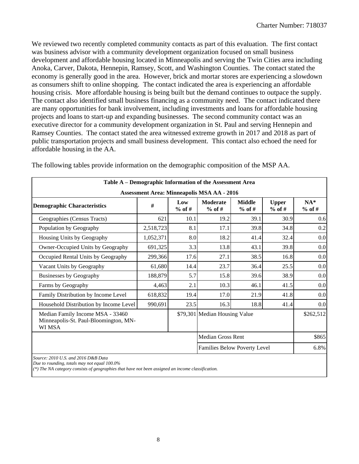We reviewed two recently completed community contacts as part of this evaluation. The first contact was business advisor with a community development organization focused on small business development and affordable housing located in Minneapolis and serving the Twin Cities area including Anoka, Carver, Dakota, Hennepin, Ramsey, Scott, and Washington Counties. The contact stated the economy is generally good in the area. However, brick and mortar stores are experiencing a slowdown as consumers shift to online shopping. The contact indicated the area is experiencing an affordable housing crisis. More affordable housing is being built but the demand continues to outpace the supply. The contact also identified small business financing as a community need. The contact indicated there are many opportunities for bank involvement, including investments and loans for affordable housing projects and loans to start-up and expanding businesses. The second community contact was an executive director for a community development organization in St. Paul and serving Hennepin and Ramsey Counties. The contact stated the area witnessed extreme growth in 2017 and 2018 as part of public transportation projects and small business development. This contact also echoed the need for affordable housing in the AA.

|                                                                                     |                              |                 | Table A – Demographic Information of the Assessment Area |                           |                          |                   |
|-------------------------------------------------------------------------------------|------------------------------|-----------------|----------------------------------------------------------|---------------------------|--------------------------|-------------------|
|                                                                                     |                              |                 | <b>Assessment Area: Minneapolis MSA AA - 2016</b>        |                           |                          |                   |
| <b>Demographic Characteristics</b>                                                  | #                            | Low<br>$%$ of # | <b>Moderate</b><br>$%$ of #                              | <b>Middle</b><br>$%$ of # | <b>Upper</b><br>$%$ of # | $NA*$<br>$%$ of # |
| Geographies (Census Tracts)                                                         | 621                          | 10.1            | 19.2                                                     | 39.1                      | 30.9                     | 0.6               |
| Population by Geography                                                             | 2,518,723                    | 8.1             | 17.1                                                     | 39.8                      | 34.8                     | 0.2               |
| Housing Units by Geography                                                          | 1,052,371                    | 8.0             | 18.2                                                     | 41.4                      | 32.4                     | 0.0               |
| Owner-Occupied Units by Geography                                                   | 691,325                      | 3.3             | 13.8                                                     | 43.1                      | 39.8                     | 0.0               |
| Occupied Rental Units by Geography                                                  | 299,366                      | 17.6            | 27.1                                                     | 38.5                      | 16.8                     | 0.0               |
| Vacant Units by Geography                                                           | 61,680                       | 14.4            | 23.7                                                     | 36.4                      | 25.5                     | 0.0               |
| Businesses by Geography                                                             | 188,879                      | 5.7             | 15.8                                                     | 39.6                      | 38.9                     | 0.0               |
| Farms by Geography                                                                  | 4,463                        | 2.1             | 10.3                                                     | 46.1                      | 41.5                     | 0.0               |
| Family Distribution by Income Level                                                 | 618,832                      | 19.4            | 17.0                                                     | 21.9                      | 41.8                     | 0.0               |
| Household Distribution by Income Level                                              | 990,691                      | 23.5            | 16.3                                                     | 18.8                      | 41.4                     | 0.0               |
| Median Family Income MSA - 33460<br>Minneapolis-St. Paul-Bloomington, MN-<br>WI MSA |                              |                 | \$79,301 Median Housing Value                            | \$262,512                 |                          |                   |
|                                                                                     |                              |                 | <b>Median Gross Rent</b>                                 |                           |                          | \$865             |
|                                                                                     | Families Below Poverty Level |                 |                                                          |                           |                          | 6.8%              |
| Source: 2010 U.S. and 2016 D&B Data<br>1.100.001                                    |                              |                 |                                                          |                           |                          |                   |

The following tables provide information on the demographic composition of the MSP AA.

*Due to rounding, totals may not equal 100.0% (\*) The NA category consists of geographies that have not been assigned an income classification.*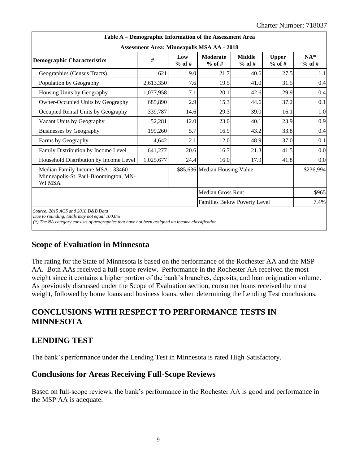|                                                                                                                                                                                         | Table A – Demographic Information of the Assessment Area |                 |                               |                           |                          |                   |  |  |  |  |  |  |
|-----------------------------------------------------------------------------------------------------------------------------------------------------------------------------------------|----------------------------------------------------------|-----------------|-------------------------------|---------------------------|--------------------------|-------------------|--|--|--|--|--|--|
|                                                                                                                                                                                         | <b>Assessment Area: Minneapolis MSA AA - 2018</b>        |                 |                               |                           |                          |                   |  |  |  |  |  |  |
| <b>Demographic Characteristics</b>                                                                                                                                                      | #                                                        | Low<br>$%$ of # | <b>Moderate</b><br>$%$ of #   | <b>Middle</b><br>$%$ of # | <b>Upper</b><br>$%$ of # | $NA*$<br>$%$ of # |  |  |  |  |  |  |
| Geographies (Census Tracts)                                                                                                                                                             | 621                                                      | 9.0             | 21.7                          | 40.6                      | 27.5                     | 1.1               |  |  |  |  |  |  |
| Population by Geography                                                                                                                                                                 | 2,613,350                                                | 7.6             | 19.5                          | 41.0                      | 31.5                     | 0.4               |  |  |  |  |  |  |
| Housing Units by Geography                                                                                                                                                              | 1,077,958                                                | 7.1             | 20.1                          | 42.6                      | 29.9                     |                   |  |  |  |  |  |  |
| Owner-Occupied Units by Geography                                                                                                                                                       | 685,890                                                  | 2.9             | 15.3                          | 44.6                      | 0.1                      |                   |  |  |  |  |  |  |
| Occupied Rental Units by Geography                                                                                                                                                      | 339,787                                                  | 14.6            | 29.3                          | 39.0                      | 16.1                     | 1.0               |  |  |  |  |  |  |
| Vacant Units by Geography                                                                                                                                                               | 52,281                                                   | 12.0            | 23.0                          | 40.1                      | 23.9                     | 0.9               |  |  |  |  |  |  |
| <b>Businesses by Geography</b>                                                                                                                                                          | 199,260                                                  | 5.7             | 16.9                          | 43.2                      | 33.8                     | 0.4               |  |  |  |  |  |  |
| Farms by Geography                                                                                                                                                                      | 4,642                                                    | 2.1             | 12.0                          | 48.9                      | 37.0                     | 0.1               |  |  |  |  |  |  |
| Family Distribution by Income Level                                                                                                                                                     | 641,277                                                  | 20.6            | 16.7                          | 21.3                      | 41.5                     | 0.0               |  |  |  |  |  |  |
| Household Distribution by Income Level                                                                                                                                                  | 1,025,677                                                | 24.4            | 16.0                          | 17.9                      | 41.8                     | 0.0               |  |  |  |  |  |  |
| Median Family Income MSA - 33460<br>Minneapolis-St. Paul-Bloomington, MN-<br>WI MSA                                                                                                     |                                                          |                 | \$85,636 Median Housing Value | \$236,994                 |                          |                   |  |  |  |  |  |  |
|                                                                                                                                                                                         |                                                          |                 | <b>Median Gross Rent</b>      |                           |                          | \$965             |  |  |  |  |  |  |
| <b>Families Below Poverty Level</b>                                                                                                                                                     |                                                          |                 |                               |                           |                          | 7.4%              |  |  |  |  |  |  |
| Source: 2015 ACS and 2018 D&B Data<br>Due to rounding, totals may not equal 100.0%<br>(*) The NA category consists of geographies that have not been assigned an income classification. |                                                          |                 |                               |                           |                          |                   |  |  |  |  |  |  |

### **Scope of Evaluation in Minnesota**

The rating for the State of Minnesota is based on the performance of the Rochester AA and the MSP AA. Both AAs received a full-scope review. Performance in the Rochester AA received the most weight since it contains a higher portion of the bank's branches, deposits, and loan origination volume. As previously discussed under the Scope of Evaluation section, consumer loans received the most weight, followed by home loans and business loans, when determining the Lending Test conclusions.

### **CONCLUSIONS WITH RESPECT TO PERFORMANCE TESTS IN MINNESOTA**

#### **LENDING TEST**

The bank's performance under the Lending Test in Minnesota is rated High Satisfactory.

#### **Conclusions for Areas Receiving Full-Scope Reviews**

Based on full-scope reviews, the bank's performance in the Rochester AA is good and performance in the MSP AA is adequate.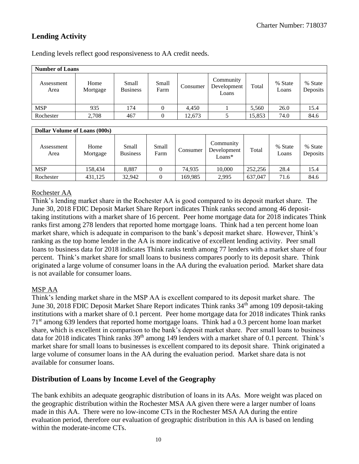## **Lending Activity**

| <b>Number of Loans</b> |                  |                          |               |          |                                   |        |                  |                     |  |  |  |
|------------------------|------------------|--------------------------|---------------|----------|-----------------------------------|--------|------------------|---------------------|--|--|--|
| Assessment<br>Area     | Home<br>Mortgage | Small<br><b>Business</b> | Small<br>Farm | Consumer | Community<br>Development<br>Loans | Total  | % State<br>Loans | % State<br>Deposits |  |  |  |
| <b>MSP</b>             | 935              | 174                      | 0             | 4.450    |                                   | 5,560  | 26.0             | 15.4                |  |  |  |
| Rochester              | 2,708            | 467                      |               | 12,673   |                                   | 15,853 | 74.0             | 84.6                |  |  |  |

Lending levels reflect good responsiveness to AA credit needs.

| <b>Dollar Volume of Loans (000s)</b> |                  |                          |                |          |                                      |         |                  |                     |  |  |  |
|--------------------------------------|------------------|--------------------------|----------------|----------|--------------------------------------|---------|------------------|---------------------|--|--|--|
| Assessment<br>Area                   | Home<br>Mortgage | Small<br><b>Business</b> | Small<br>Farm  | Consumer | Community<br>Development<br>$Loans*$ | Total   | % State<br>Loans | % State<br>Deposits |  |  |  |
| <b>MSP</b>                           | 158.434          | 8,887                    | 0              | 74.935   | 10,000                               | 252,256 | 28.4             | 15.4                |  |  |  |
| Rochester                            | 431.125          | 32.942                   | $\overline{0}$ | 169,985  | 2,995                                | 637,047 | 71.6             | 84.6                |  |  |  |

#### Rochester AA

Think's lending market share in the Rochester AA is good compared to its deposit market share. The June 30, 2018 FDIC Deposit Market Share Report indicates Think ranks second among 46 deposittaking institutions with a market share of 16 percent. Peer home mortgage data for 2018 indicates Think ranks first among 278 lenders that reported home mortgage loans. Think had a ten percent home loan market share, which is adequate in comparison to the bank's deposit market share. However, Think's ranking as the top home lender in the AA is more indicative of excellent lending activity. Peer small loans to business data for 2018 indicates Think ranks tenth among 77 lenders with a market share of four percent. Think's market share for small loans to business compares poorly to its deposit share. Think originated a large volume of consumer loans in the AA during the evaluation period. Market share data is not available for consumer loans.

#### MSP AA

Think's lending market share in the MSP AA is excellent compared to its deposit market share. The June 30, 2018 FDIC Deposit Market Share Report indicates Think ranks 34<sup>th</sup> among 109 deposit-taking institutions with a market share of 0.1 percent. Peer home mortgage data for 2018 indicates Think ranks 71st among 639 lenders that reported home mortgage loans. Think had a 0.3 percent home loan market share, which is excellent in comparison to the bank's deposit market share. Peer small loans to business data for 2018 indicates Think ranks 39<sup>th</sup> among 149 lenders with a market share of 0.1 percent. Think's market share for small loans to businesses is excellent compared to its deposit share. Think originated a large volume of consumer loans in the AA during the evaluation period. Market share data is not available for consumer loans.

#### **Distribution of Loans by Income Level of the Geography**

The bank exhibits an adequate geographic distribution of loans in its AAs. More weight was placed on the geographic distribution within the Rochester MSA AA given there were a larger number of loans made in this AA. There were no low-income CTs in the Rochester MSA AA during the entire evaluation period, therefore our evaluation of geographic distribution in this AA is based on lending within the moderate-income CTs.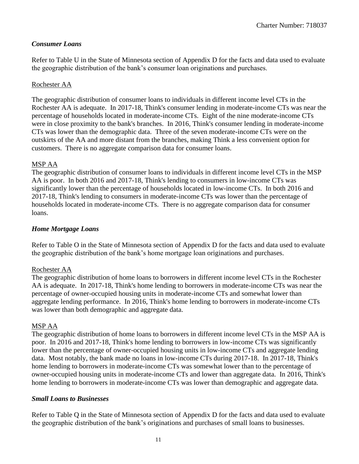#### *Consumer Loans*

Refer to Table U in the State of Minnesota section of Appendix D for the facts and data used to evaluate the geographic distribution of the bank's consumer loan originations and purchases.

#### Rochester AA

The geographic distribution of consumer loans to individuals in different income level CTs in the Rochester AA is adequate. In 2017-18, Think's consumer lending in moderate-income CTs was near the percentage of households located in moderate-income CTs. Eight of the nine moderate-income CTs were in close proximity to the bank's branches. In 2016, Think's consumer lending in moderate-income CTs was lower than the demographic data. Three of the seven moderate-income CTs were on the outskirts of the AA and more distant from the branches, making Think a less convenient option for customers. There is no aggregate comparison data for consumer loans.

#### MSP AA

The geographic distribution of consumer loans to individuals in different income level CTs in the MSP AA is poor. In both 2016 and 2017-18, Think's lending to consumers in low-income CTs was significantly lower than the percentage of households located in low-income CTs. In both 2016 and 2017-18, Think's lending to consumers in moderate-income CTs was lower than the percentage of households located in moderate-income CTs. There is no aggregate comparison data for consumer loans.

#### *Home Mortgage Loans*

Refer to Table O in the State of Minnesota section of Appendix D for the facts and data used to evaluate the geographic distribution of the bank's home mortgage loan originations and purchases.

#### Rochester AA

The geographic distribution of home loans to borrowers in different income level CTs in the Rochester AA is adequate. In 2017-18, Think's home lending to borrowers in moderate-income CTs was near the percentage of owner-occupied housing units in moderate-income CTs and somewhat lower than aggregate lending performance. In 2016, Think's home lending to borrowers in moderate-income CTs was lower than both demographic and aggregate data.

#### MSP AA

The geographic distribution of home loans to borrowers in different income level CTs in the MSP AA is poor. In 2016 and 2017-18, Think's home lending to borrowers in low-income CTs was significantly lower than the percentage of owner-occupied housing units in low-income CTs and aggregate lending data. Most notably, the bank made no loans in low-income CTs during 2017-18. In 2017-18, Think's home lending to borrowers in moderate-income CTs was somewhat lower than to the percentage of owner-occupied housing units in moderate-income CTs and lower than aggregate data. In 2016, Think's home lending to borrowers in moderate-income CTs was lower than demographic and aggregate data.

#### *Small Loans to Businesses*

Refer to Table Q in the State of Minnesota section of Appendix D for the facts and data used to evaluate the geographic distribution of the bank's originations and purchases of small loans to businesses.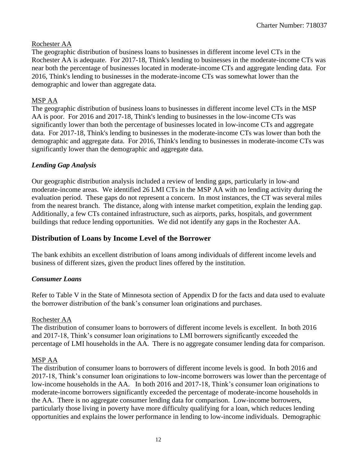#### Rochester AA

The geographic distribution of business loans to businesses in different income level CTs in the Rochester AA is adequate. For 2017-18, Think's lending to businesses in the moderate-income CTs was near both the percentage of businesses located in moderate-income CTs and aggregate lending data. For 2016, Think's lending to businesses in the moderate-income CTs was somewhat lower than the demographic and lower than aggregate data.

#### MSP AA

The geographic distribution of business loans to businesses in different income level CTs in the MSP AA is poor. For 2016 and 2017-18, Think's lending to businesses in the low-income CTs was significantly lower than both the percentage of businesses located in low-income CTs and aggregate data. For 2017-18, Think's lending to businesses in the moderate-income CTs was lower than both the demographic and aggregate data. For 2016, Think's lending to businesses in moderate-income CTs was significantly lower than the demographic and aggregate data.

#### *Lending Gap Analysis*

Our geographic distribution analysis included a review of lending gaps, particularly in low-and moderate-income areas. We identified 26 LMI CTs in the MSP AA with no lending activity during the evaluation period. These gaps do not represent a concern. In most instances, the CT was several miles from the nearest branch. The distance, along with intense market competition, explain the lending gap. Additionally, a few CTs contained infrastructure, such as airports, parks, hospitals, and government buildings that reduce lending opportunities. We did not identify any gaps in the Rochester AA.

#### **Distribution of Loans by Income Level of the Borrower**

The bank exhibits an excellent distribution of loans among individuals of different income levels and business of different sizes, given the product lines offered by the institution.

#### *Consumer Loans*

Refer to Table V in the State of Minnesota section of Appendix D for the facts and data used to evaluate the borrower distribution of the bank's consumer loan originations and purchases.

#### Rochester AA

The distribution of consumer loans to borrowers of different income levels is excellent. In both 2016 and 2017-18, Think's consumer loan originations to LMI borrowers significantly exceeded the percentage of LMI households in the AA. There is no aggregate consumer lending data for comparison.

#### MSP AA

The distribution of consumer loans to borrowers of different income levels is good. In both 2016 and 2017-18, Think's consumer loan originations to low-income borrowers was lower than the percentage of low-income households in the AA. In both 2016 and 2017-18, Think's consumer loan originations to moderate-income borrowers significantly exceeded the percentage of moderate-income households in the AA. There is no aggregate consumer lending data for comparison. Low-income borrowers, particularly those living in poverty have more difficulty qualifying for a loan, which reduces lending opportunities and explains the lower performance in lending to low-income individuals. Demographic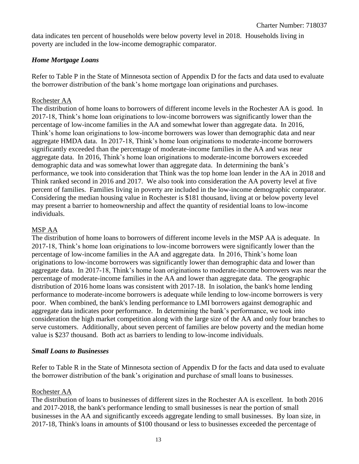data indicates ten percent of households were below poverty level in 2018. Households living in poverty are included in the low-income demographic comparator.

#### *Home Mortgage Loans*

Refer to Table P in the State of Minnesota section of Appendix D for the facts and data used to evaluate the borrower distribution of the bank's home mortgage loan originations and purchases.

#### Rochester AA

The distribution of home loans to borrowers of different income levels in the Rochester AA is good. In 2017-18, Think's home loan originations to low-income borrowers was significantly lower than the percentage of low-income families in the AA and somewhat lower than aggregate data. In 2016, Think's home loan originations to low-income borrowers was lower than demographic data and near aggregate HMDA data. In 2017-18, Think's home loan originations to moderate-income borrowers significantly exceeded than the percentage of moderate-income families in the AA and was near aggregate data. In 2016, Think's home loan originations to moderate-income borrowers exceeded demographic data and was somewhat lower than aggregate data. In determining the bank's performance, we took into consideration that Think was the top home loan lender in the AA in 2018 and Think ranked second in 2016 and 2017. We also took into consideration the AA poverty level at five percent of families. Families living in poverty are included in the low-income demographic comparator. Considering the median housing value in Rochester is \$181 thousand, living at or below poverty level may present a barrier to homeownership and affect the quantity of residential loans to low-income individuals.

#### MSP AA

The distribution of home loans to borrowers of different income levels in the MSP AA is adequate. In 2017-18, Think's home loan originations to low-income borrowers were significantly lower than the percentage of low-income families in the AA and aggregate data. In 2016, Think's home loan originations to low-income borrowers was significantly lower than demographic data and lower than aggregate data. In 2017-18, Think's home loan originations to moderate-income borrowers was near the percentage of moderate-income families in the AA and lower than aggregate data. The geographic distribution of 2016 home loans was consistent with 2017-18. In isolation, the bank's home lending performance to moderate-income borrowers is adequate while lending to low-income borrowers is very poor. When combined, the bank's lending performance to LMI borrowers against demographic and aggregate data indicates poor performance. In determining the bank's performance, we took into consideration the high market competition along with the large size of the AA and only four branches to serve customers. Additionally, about seven percent of families are below poverty and the median home value is \$237 thousand. Both act as barriers to lending to low-income individuals.

#### *Small Loans to Businesses*

Refer to Table R in the State of Minnesota section of Appendix D for the facts and data used to evaluate the borrower distribution of the bank's origination and purchase of small loans to businesses.

#### Rochester AA

The distribution of loans to businesses of different sizes in the Rochester AA is excellent. In both 2016 and 2017-2018, the bank's performance lending to small businesses is near the portion of small businesses in the AA and significantly exceeds aggregate lending to small businesses. By loan size, in 2017-18, Think's loans in amounts of \$100 thousand or less to businesses exceeded the percentage of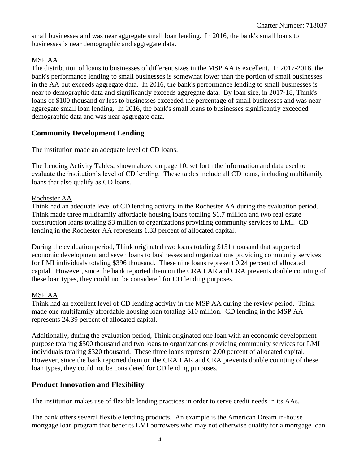small businesses and was near aggregate small loan lending. In 2016, the bank's small loans to businesses is near demographic and aggregate data.

### MSP AA

The distribution of loans to businesses of different sizes in the MSP AA is excellent. In 2017-2018, the bank's performance lending to small businesses is somewhat lower than the portion of small businesses in the AA but exceeds aggregate data. In 2016, the bank's performance lending to small businesses is near to demographic data and significantly exceeds aggregate data. By loan size, in 2017-18, Think's loans of \$100 thousand or less to businesses exceeded the percentage of small businesses and was near aggregate small loan lending. In 2016, the bank's small loans to businesses significantly exceeded demographic data and was near aggregate data.

### **Community Development Lending**

The institution made an adequate level of CD loans.

The Lending Activity Tables, shown above on page 10, set forth the information and data used to evaluate the institution's level of CD lending. These tables include all CD loans, including multifamily loans that also qualify as CD loans.

#### Rochester AA

Think had an adequate level of CD lending activity in the Rochester AA during the evaluation period. Think made three multifamily affordable housing loans totaling \$1.7 million and two real estate construction loans totaling \$3 million to organizations providing community services to LMI. CD lending in the Rochester AA represents 1.33 percent of allocated capital.

During the evaluation period, Think originated two loans totaling \$151 thousand that supported economic development and seven loans to businesses and organizations providing community services for LMI individuals totaling \$396 thousand. These nine loans represent 0.24 percent of allocated capital. However, since the bank reported them on the CRA LAR and CRA prevents double counting of these loan types, they could not be considered for CD lending purposes.

#### MSP AA

Think had an excellent level of CD lending activity in the MSP AA during the review period. Think made one multifamily affordable housing loan totaling \$10 million. CD lending in the MSP AA represents 24.39 percent of allocated capital.

Additionally, during the evaluation period, Think originated one loan with an economic development purpose totaling \$500 thousand and two loans to organizations providing community services for LMI individuals totaling \$320 thousand. These three loans represent 2.00 percent of allocated capital. However, since the bank reported them on the CRA LAR and CRA prevents double counting of these loan types, they could not be considered for CD lending purposes.

#### **Product Innovation and Flexibility**

The institution makes use of flexible lending practices in order to serve credit needs in its AAs.

The bank offers several flexible lending products. An example is the American Dream in-house mortgage loan program that benefits LMI borrowers who may not otherwise qualify for a mortgage loan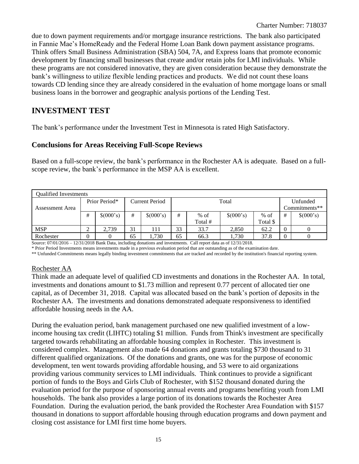due to down payment requirements and/or mortgage insurance restrictions. The bank also participated in Fannie Mae's HomeReady and the Federal Home Loan Bank down payment assistance programs. Think offers Small Business Administration (SBA) 504, 7A, and Express loans that promote economic development by financing small businesses that create and/or retain jobs for LMI individuals. While these programs are not considered innovative, they are given consideration because they demonstrate the bank's willingness to utilize flexible lending practices and products. We did not count these loans towards CD lending since they are already considered in the evaluation of home mortgage loans or small business loans in the borrower and geographic analysis portions of the Lending Test.

### **INVESTMENT TEST**

The bank's performance under the Investment Test in Minnesota is rated High Satisfactory.

#### **Conclusions for Areas Receiving Full-Scope Reviews**

Based on a full-scope review, the bank's performance in the Rochester AA is adequate. Based on a fullscope review, the bank's performance in the MSP AA is excellent.

|                 | <b>Oualified Investments</b> |                                        |    |           |    |         |           |          |                |               |  |  |
|-----------------|------------------------------|----------------------------------------|----|-----------|----|---------|-----------|----------|----------------|---------------|--|--|
|                 |                              | Prior Period*<br><b>Current Period</b> |    |           |    | Total   |           | Unfunded |                |               |  |  |
| Assessment Area |                              |                                        |    |           |    |         |           |          |                | Commitments** |  |  |
|                 | #                            | \$(000's)                              | #  | \$(000's) | #  | $%$ of  | \$(000's) | $%$ of   | #              | \$(000's)     |  |  |
|                 |                              |                                        |    |           |    | Total # |           | Total \$ |                |               |  |  |
| <b>MSP</b>      | ◠<br>∠                       | 2,739                                  | 31 | 111       | 33 | 33.7    | 2,850     | 62.2     | $\overline{0}$ | 0             |  |  |
| Rochester       | $\overline{0}$               |                                        | 65 | .730      | 65 | 66.3    | 1.730     | 37.8     | $\overline{0}$ |               |  |  |

Source: 07/01/2016 – 12/31/2018 Bank Data, including donations and investments. Call report data as of 12/31/2018.

\* Prior Period Investments means investments made in a previous evaluation period that are outstanding as of the examination date.

\*\* Unfunded Commitments means legally binding investment commitments that are tracked and recorded by the institution's financial reporting system.

#### Rochester AA

Think made an adequate level of qualified CD investments and donations in the Rochester AA. In total, investments and donations amount to \$1.73 million and represent 0.77 percent of allocated tier one capital, as of December 31, 2018. Capital was allocated based on the bank's portion of deposits in the Rochester AA. The investments and donations demonstrated adequate responsiveness to identified affordable housing needs in the AA.

During the evaluation period, bank management purchased one new qualified investment of a lowincome housing tax credit (LIHTC) totaling \$1 million. Funds from Think's investment are specifically targeted towards rehabilitating an affordable housing complex in Rochester. This investment is considered complex. Management also made 64 donations and grants totaling \$730 thousand to 31 different qualified organizations. Of the donations and grants, one was for the purpose of economic development, ten went towards providing affordable housing, and 53 were to aid organizations providing various community services to LMI individuals. Think continues to provide a significant portion of funds to the Boys and Girls Club of Rochester, with \$152 thousand donated during the evaluation period for the purpose of sponsoring annual events and programs benefiting youth from LMI households. The bank also provides a large portion of its donations towards the Rochester Area Foundation. During the evaluation period, the bank provided the Rochester Area Foundation with \$157 thousand in donations to support affordable housing through education programs and down payment and closing cost assistance for LMI first time home buyers.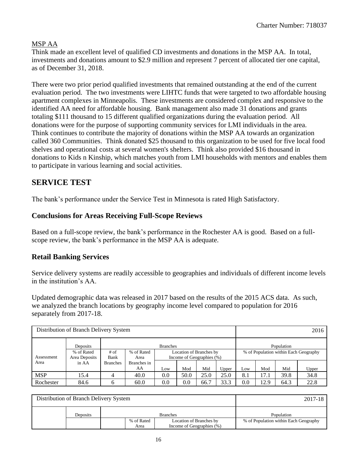#### MSP AA

Think made an excellent level of qualified CD investments and donations in the MSP AA. In total, investments and donations amount to \$2.9 million and represent 7 percent of allocated tier one capital, as of December 31, 2018.

There were two prior period qualified investments that remained outstanding at the end of the current evaluation period. The two investments were LIHTC funds that were targeted to two affordable housing apartment complexes in Minneapolis. These investments are considered complex and responsive to the identified AA need for affordable housing. Bank management also made 31 donations and grants totaling \$111 thousand to 15 different qualified organizations during the evaluation period. All donations were for the purpose of supporting community services for LMI individuals in the area. Think continues to contribute the majority of donations within the MSP AA towards an organization called 360 Communities. Think donated \$25 thousand to this organization to be used for five local food shelves and operational costs at several women's shelters. Think also provided \$16 thousand in donations to Kids n Kinship, which matches youth from LMI households with mentors and enables them to participate in various learning and social activities.

### **SERVICE TEST**

The bank's performance under the Service Test in Minnesota is rated High Satisfactory.

#### **Conclusions for Areas Receiving Full-Scope Reviews**

Based on a full-scope review, the bank's performance in the Rochester AA is good. Based on a fullscope review, the bank's performance in the MSP AA is adequate.

#### **Retail Banking Services**

Service delivery systems are readily accessible to geographies and individuals of different income levels in the institution's AA.

Updated demographic data was released in 2017 based on the results of the 2015 ACS data. As such, we analyzed the branch locations by geography income level compared to population for 2016 separately from 2017-18.

| Distribution of Branch Delivery System |                             |                 |                                       |     |                           |      | 2016  |            |      |            |                                       |
|----------------------------------------|-----------------------------|-----------------|---------------------------------------|-----|---------------------------|------|-------|------------|------|------------|---------------------------------------|
|                                        | <b>Branches</b><br>Deposits |                 |                                       |     |                           |      |       |            |      | Population |                                       |
|                                        | % of Rated                  | $#$ of          | % of Rated<br>Location of Branches by |     |                           |      |       |            |      |            | % of Population within Each Geography |
| Assessment                             | Area Deposits               | Bank            | Area                                  |     | Income of Geographies (%) |      |       |            |      |            |                                       |
| Area                                   | in AA                       | <b>Branches</b> | Branches in                           |     |                           |      |       |            |      |            |                                       |
|                                        |                             |                 | AA                                    | Low | Mod                       | Mid  | Upper | <b>LOW</b> | Mod  | Mid        | Upper                                 |
| <b>MSP</b>                             | 15.4                        | 4               | 40.0                                  | 0.0 | 50.0                      | 25.0 | 25.0  | 8.1        | 17.1 | 39.8       | 34.8                                  |
| Rochester                              | 84.6                        | 6               | 60.0                                  | 0.0 | $0.0\,$                   | 66.7 | 33.3  | 0.0        | 12.9 | 64.3       | 22.8                                  |

| Distribution of Branch Delivery System |                    |                                                      | 2017-18                               |
|----------------------------------------|--------------------|------------------------------------------------------|---------------------------------------|
| Deposits                               |                    | <b>Branches</b>                                      | Population                            |
|                                        | % of Rated<br>Area | Location of Branches by<br>Income of Geographies (%) | % of Population within Each Geography |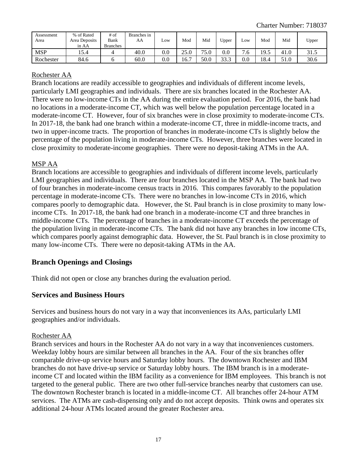| Assessment<br>Area | % of Rated<br>Area Deposits<br>in AA | # of<br>Bank<br><b>Branches</b> | Branches in<br>AA | LOW      | Mod  | Mid  | Upper       | LOW      | Mod          | Mid  | Upper |
|--------------------|--------------------------------------|---------------------------------|-------------------|----------|------|------|-------------|----------|--------------|------|-------|
| <b>MSP</b>         | 15.4                                 |                                 | 40.0              | $_{0.0}$ | 25.0 | 75.0 | $_{0.0}$    | −<br>'.ხ | 1 Q 5<br>フェン | 41.0 | 31.5  |
| Rochester          | 84.6                                 |                                 | 60.0              | $_{0.0}$ | .6.7 | 50.0 | 333<br>JJ.J | $_{0.0}$ | 18.4         | 51.0 | 30.6  |

#### Rochester AA

Branch locations are readily accessible to geographies and individuals of different income levels, particularly LMI geographies and individuals. There are six branches located in the Rochester AA. There were no low-income CTs in the AA during the entire evaluation period. For 2016, the bank had no locations in a moderate-income CT, which was well below the population percentage located in a moderate-income CT. However, four of six branches were in close proximity to moderate-income CTs. In 2017-18, the bank had one branch within a moderate-income CT, three in middle-income tracts, and two in upper-income tracts. The proportion of branches in moderate-income CTs is slightly below the percentage of the population living in moderate-income CTs. However, three branches were located in close proximity to moderate-income geographies. There were no deposit-taking ATMs in the AA.

#### MSP AA

Branch locations are accessible to geographies and individuals of different income levels, particularly LMI geographies and individuals. There are four branches located in the MSP AA. The bank had two of four branches in moderate-income census tracts in 2016. This compares favorably to the population percentage in moderate-income CTs. There were no branches in low-income CTs in 2016, which compares poorly to demographic data. However, the St. Paul branch is in close proximity to many lowincome CTs. In 2017-18, the bank had one branch in a moderate-income CT and three branches in middle-income CTs. The percentage of branches in a moderate-income CT exceeds the percentage of the population living in moderate-income CTs. The bank did not have any branches in low income CTs, which compares poorly against demographic data. However, the St. Paul branch is in close proximity to many low-income CTs. There were no deposit-taking ATMs in the AA.

### **Branch Openings and Closings**

Think did not open or close any branches during the evaluation period.

#### **Services and Business Hours**

Services and business hours do not vary in a way that inconveniences its AAs, particularly LMI geographies and/or individuals.

#### Rochester AA

Branch services and hours in the Rochester AA do not vary in a way that inconveniences customers. Weekday lobby hours are similar between all branches in the AA. Four of the six branches offer comparable drive-up service hours and Saturday lobby hours. The downtown Rochester and IBM branches do not have drive-up service or Saturday lobby hours. The IBM branch is in a moderateincome CT and located within the IBM facility as a convenience for IBM employees. This branch is not targeted to the general public. There are two other full-service branches nearby that customers can use. The downtown Rochester branch is located in a middle-income CT. All branches offer 24-hour ATM services. The ATMs are cash-dispensing only and do not accept deposits. Think owns and operates six additional 24-hour ATMs located around the greater Rochester area.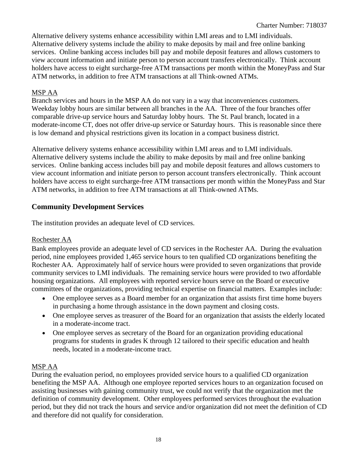Alternative delivery systems enhance accessibility within LMI areas and to LMI individuals. Alternative delivery systems include the ability to make deposits by mail and free online banking services. Online banking access includes bill pay and mobile deposit features and allows customers to view account information and initiate person to person account transfers electronically. Think account holders have access to eight surcharge-free ATM transactions per month within the MoneyPass and Star ATM networks, in addition to free ATM transactions at all Think-owned ATMs.

#### MSP AA

Branch services and hours in the MSP AA do not vary in a way that inconveniences customers. Weekday lobby hours are similar between all branches in the AA. Three of the four branches offer comparable drive-up service hours and Saturday lobby hours. The St. Paul branch, located in a moderate-income CT, does not offer drive-up service or Saturday hours. This is reasonable since there is low demand and physical restrictions given its location in a compact business district.

Alternative delivery systems enhance accessibility within LMI areas and to LMI individuals. Alternative delivery systems include the ability to make deposits by mail and free online banking services. Online banking access includes bill pay and mobile deposit features and allows customers to view account information and initiate person to person account transfers electronically. Think account holders have access to eight surcharge-free ATM transactions per month within the MoneyPass and Star ATM networks, in addition to free ATM transactions at all Think-owned ATMs.

#### **Community Development Services**

The institution provides an adequate level of CD services.

#### Rochester AA

Bank employees provide an adequate level of CD services in the Rochester AA. During the evaluation period, nine employees provided 1,465 service hours to ten qualified CD organizations benefiting the Rochester AA. Approximately half of service hours were provided to seven organizations that provide community services to LMI individuals. The remaining service hours were provided to two affordable housing organizations. All employees with reported service hours serve on the Board or executive committees of the organizations, providing technical expertise on financial matters. Examples include:

- One employee serves as a Board member for an organization that assists first time home buyers in purchasing a home through assistance in the down payment and closing costs.
- One employee serves as treasurer of the Board for an organization that assists the elderly located in a moderate-income tract.
- One employee serves as secretary of the Board for an organization providing educational programs for students in grades K through 12 tailored to their specific education and health needs, located in a moderate-income tract.

#### MSP AA

During the evaluation period, no employees provided service hours to a qualified CD organization benefiting the MSP AA. Although one employee reported services hours to an organization focused on assisting businesses with gaining community trust, we could not verify that the organization met the definition of community development. Other employees performed services throughout the evaluation period, but they did not track the hours and service and/or organization did not meet the definition of CD and therefore did not qualify for consideration.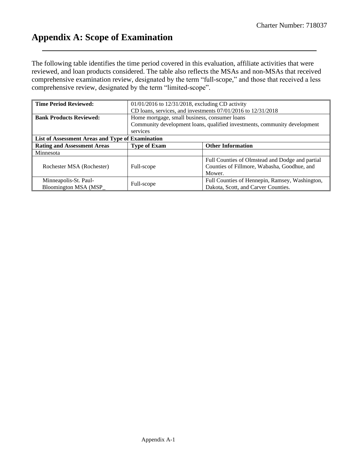## <span id="page-19-0"></span>**Appendix A: Scope of Examination**

The following table identifies the time period covered in this evaluation, affiliate activities that were reviewed, and loan products considered. The table also reflects the MSAs and non-MSAs that received comprehensive examination review, designated by the term "full-scope," and those that received a less comprehensive review, designated by the term "limited-scope".

| <b>Time Period Reviewed:</b>                     | $01/01/2016$ to $12/31/2018$ , excluding CD activity |                                                                           |
|--------------------------------------------------|------------------------------------------------------|---------------------------------------------------------------------------|
|                                                  |                                                      | CD loans, services, and investments $07/01/2016$ to $12/31/2018$          |
| <b>Bank Products Reviewed:</b>                   | Home mortgage, small business, consumer loans        |                                                                           |
|                                                  |                                                      | Community development loans, qualified investments, community development |
|                                                  | services                                             |                                                                           |
| List of Assessment Areas and Type of Examination |                                                      |                                                                           |
| <b>Rating and Assessment Areas</b>               | <b>Type of Exam</b>                                  | <b>Other Information</b>                                                  |
| Minnesota                                        |                                                      |                                                                           |
|                                                  |                                                      | Full Counties of Olmstead and Dodge and partial                           |
| Rochester MSA (Rochester)                        | Full-scope                                           | Counties of Fillmore, Wabasha, Goodhue, and                               |
|                                                  |                                                      | Mower.                                                                    |
| Minneapolis-St. Paul-                            |                                                      | Full Counties of Hennepin, Ramsey, Washington,                            |
| Bloomington MSA (MSP                             | Full-scope                                           | Dakota, Scott, and Carver Counties.                                       |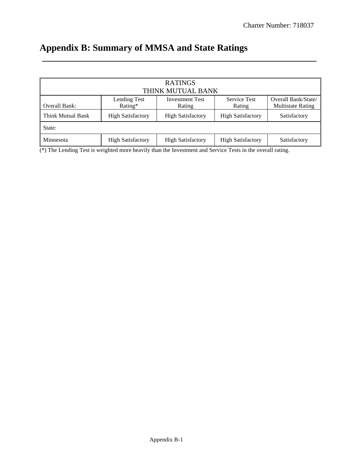# <span id="page-20-0"></span>**Appendix B: Summary of MMSA and State Ratings**

|                   |                          | <b>RATINGS</b>                   |                               |                                                 |
|-------------------|--------------------------|----------------------------------|-------------------------------|-------------------------------------------------|
|                   |                          | THINK MUTUAL BANK                |                               |                                                 |
| Overall Bank:     | Lending Test<br>Rating*  | <b>Investment Test</b><br>Rating | <b>Service Test</b><br>Rating | Overall Bank/State/<br><b>Multistate Rating</b> |
| Think Mutual Bank | <b>High Satisfactory</b> | <b>High Satisfactory</b>         | <b>High Satisfactory</b>      | Satisfactory                                    |
| State:            |                          |                                  |                               |                                                 |
| Minnesota         | <b>High Satisfactory</b> | <b>High Satisfactory</b>         | <b>High Satisfactory</b>      | Satisfactory                                    |

(\*) The Lending Test is weighted more heavily than the Investment and Service Tests in the overall rating.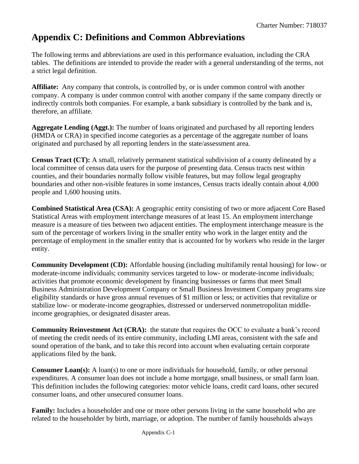## <span id="page-21-0"></span>**Appendix C: Definitions and Common Abbreviations**

The following terms and abbreviations are used in this performance evaluation, including the CRA tables. The definitions are intended to provide the reader with a general understanding of the terms, not a strict legal definition.

**Affiliate:** Any company that controls, is controlled by, or is under common control with another company. A company is under common control with another company if the same company directly or indirectly controls both companies. For example, a bank subsidiary is controlled by the bank and is, therefore, an affiliate.

**Aggregate Lending (Aggt.):** The number of loans originated and purchased by all reporting lenders (HMDA or CRA) in specified income categories as a percentage of the aggregate number of loans originated and purchased by all reporting lenders in the state/assessment area.

**Census Tract (CT):** A small, relatively permanent statistical subdivision of a county delineated by a local committee of census data users for the purpose of presenting data. Census tracts nest within counties, and their boundaries normally follow visible features, but may follow legal geography boundaries and other non-visible features in some instances, Census tracts ideally contain about 4,000 people and 1,600 housing units.

**Combined Statistical Area (CSA):** A geographic entity consisting of two or more adjacent Core Based Statistical Areas with employment interchange measures of at least 15. An employment interchange measure is a measure of ties between two adjacent entities. The employment interchange measure is the sum of the percentage of workers living in the smaller entity who work in the larger entity and the percentage of employment in the smaller entity that is accounted for by workers who reside in the larger entity.

**Community Development (CD):** Affordable housing (including multifamily rental housing) for low- or moderate-income individuals; community services targeted to low- or moderate-income individuals; activities that promote economic development by financing businesses or farms that meet Small Business Administration Development Company or Small Business Investment Company programs size eligibility standards or have gross annual revenues of \$1 million or less; or activities that revitalize or stabilize low- or moderate-income geographies, distressed or underserved nonmetropolitan middleincome geographies, or designated disaster areas.

**Community Reinvestment Act (CRA):** the statute that requires the OCC to evaluate a bank's record of meeting the credit needs of its entire community, including LMI areas, consistent with the safe and sound operation of the bank, and to take this record into account when evaluating certain corporate applications filed by the bank.

**Consumer Loan(s):** A loan(s) to one or more individuals for household, family, or other personal expenditures. A consumer loan does not include a home mortgage, small business, or small farm loan. This definition includes the following categories: motor vehicle loans, credit card loans, other secured consumer loans, and other unsecured consumer loans.

**Family:** Includes a householder and one or more other persons living in the same household who are related to the householder by birth, marriage, or adoption. The number of family households always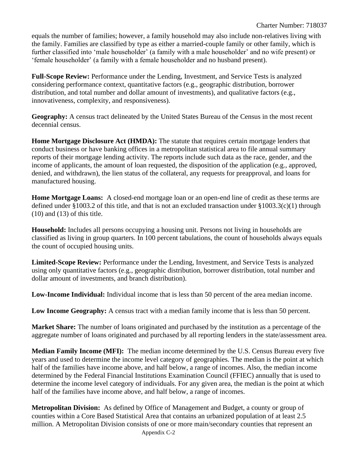equals the number of families; however, a family household may also include non-relatives living with the family. Families are classified by type as either a married-couple family or other family, which is further classified into 'male householder' (a family with a male householder' and no wife present) or 'female householder' (a family with a female householder and no husband present).

**Full-Scope Review:** Performance under the Lending, Investment, and Service Tests is analyzed considering performance context, quantitative factors (e.g., geographic distribution, borrower distribution, and total number and dollar amount of investments), and qualitative factors (e.g., innovativeness, complexity, and responsiveness).

**Geography:** A census tract delineated by the United States Bureau of the Census in the most recent decennial census.

**Home Mortgage Disclosure Act (HMDA):** The statute that requires certain mortgage lenders that conduct business or have banking offices in a metropolitan statistical area to file annual summary reports of their mortgage lending activity. The reports include such data as the race, gender, and the income of applicants, the amount of loan requested, the disposition of the application (e.g., approved, denied, and withdrawn), the lien status of the collateral, any requests for preapproval, and loans for manufactured housing.

**Home Mortgage Loans:** A closed-end mortgage loan or an open-end line of credit as these terms are defined under §1003.2 of this title, and that is not an excluded transaction under §1003.3(c)(1) through (10) and (13) of this title.

**Household:** Includes all persons occupying a housing unit. Persons not living in households are classified as living in group quarters. In 100 percent tabulations, the count of households always equals the count of occupied housing units.

**Limited-Scope Review:** Performance under the Lending, Investment, and Service Tests is analyzed using only quantitative factors (e.g., geographic distribution, borrower distribution, total number and dollar amount of investments, and branch distribution).

**Low-Income Individual:** Individual income that is less than 50 percent of the area median income.

**Low Income Geography:** A census tract with a median family income that is less than 50 percent.

**Market Share:** The number of loans originated and purchased by the institution as a percentage of the aggregate number of loans originated and purchased by all reporting lenders in the state/assessment area.

**Median Family Income (MFI):** The median income determined by the U.S. Census Bureau every five years and used to determine the income level category of geographies. The median is the point at which half of the families have income above, and half below, a range of incomes. Also, the median income determined by the Federal Financial Institutions Examination Council (FFIEC) annually that is used to determine the income level category of individuals. For any given area, the median is the point at which half of the families have income above, and half below, a range of incomes.

**Metropolitan Division:** As defined by Office of Management and Budget, a county or group of counties within a Core Based Statistical Area that contains an urbanized population of at least 2.5 million. A Metropolitan Division consists of one or more main/secondary counties that represent an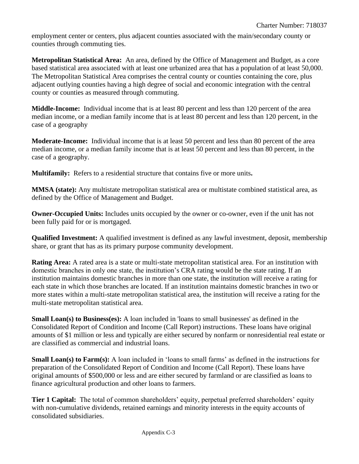employment center or centers, plus adjacent counties associated with the main/secondary county or counties through commuting ties.

**Metropolitan Statistical Area:** An area, defined by the Office of Management and Budget, as a core based statistical area associated with at least one urbanized area that has a population of at least 50,000. The Metropolitan Statistical Area comprises the central county or counties containing the core, plus adjacent outlying counties having a high degree of social and economic integration with the central county or counties as measured through commuting.

**Middle-Income:** Individual income that is at least 80 percent and less than 120 percent of the area median income, or a median family income that is at least 80 percent and less than 120 percent, in the case of a geography

**Moderate-Income:** Individual income that is at least 50 percent and less than 80 percent of the area median income, or a median family income that is at least 50 percent and less than 80 percent, in the case of a geography.

**Multifamily:** Refers to a residential structure that contains five or more units**.**

**MMSA (state):** Any multistate metropolitan statistical area or multistate combined statistical area, as defined by the Office of Management and Budget.

**Owner-Occupied Units:** Includes units occupied by the owner or co-owner, even if the unit has not been fully paid for or is mortgaged.

**Qualified Investment:** A qualified investment is defined as any lawful investment, deposit, membership share, or grant that has as its primary purpose community development.

**Rating Area:** A rated area is a state or multi-state metropolitan statistical area. For an institution with domestic branches in only one state, the institution's CRA rating would be the state rating. If an institution maintains domestic branches in more than one state, the institution will receive a rating for each state in which those branches are located. If an institution maintains domestic branches in two or more states within a multi-state metropolitan statistical area, the institution will receive a rating for the multi-state metropolitan statistical area.

**Small Loan(s) to Business(es):** A loan included in 'loans to small businesses' as defined in the Consolidated Report of Condition and Income (Call Report) instructions. These loans have original amounts of \$1 million or less and typically are either secured by nonfarm or nonresidential real estate or are classified as commercial and industrial loans.

**Small Loan(s) to Farm(s):** A loan included in 'loans to small farms' as defined in the instructions for preparation of the Consolidated Report of Condition and Income (Call Report). These loans have original amounts of \$500,000 or less and are either secured by farmland or are classified as loans to finance agricultural production and other loans to farmers.

**Tier 1 Capital:** The total of common shareholders' equity, perpetual preferred shareholders' equity with non-cumulative dividends, retained earnings and minority interests in the equity accounts of consolidated subsidiaries.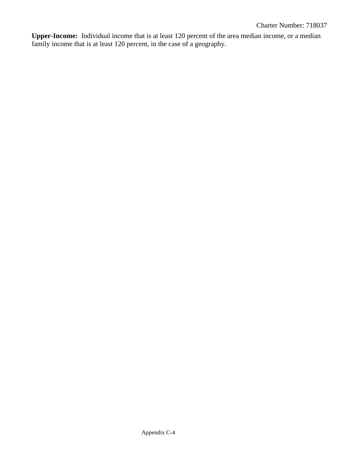**Upper-Income:** Individual income that is at least 120 percent of the area median income, or a median family income that is at least 120 percent, in the case of a geography.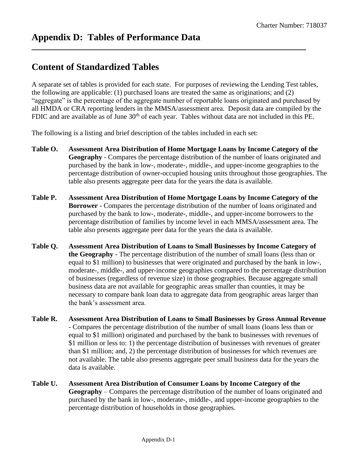## <span id="page-25-0"></span>**Content of Standardized Tables**

A separate set of tables is provided for each state. For purposes of reviewing the Lending Test tables, the following are applicable: (1) purchased loans are treated the same as originations; and (2) "aggregate" is the percentage of the aggregate number of reportable loans originated and purchased by all HMDA or CRA reporting lenders in the MMSA/assessment area. Deposit data are compiled by the FDIC and are available as of June 30<sup>th</sup> of each year. Tables without data are not included in this PE.

The following is a listing and brief description of the tables included in each set:

- **Table O. Assessment Area Distribution of Home Mortgage Loans by Income Category of the Geography** - Compares the percentage distribution of the number of loans originated and purchased by the bank in low-, moderate-, middle-, and upper-income geographies to the percentage distribution of owner-occupied housing units throughout those geographies. The table also presents aggregate peer data for the years the data is available.
- **Table P. Assessment Area Distribution of Home Mortgage Loans by Income Category of the Borrower** - Compares the percentage distribution of the number of loans originated and purchased by the bank to low-, moderate-, middle-, and upper-income borrowers to the percentage distribution of families by income level in each MMSA/assessment area. The table also presents aggregate peer data for the years the data is available.
- **Table Q. Assessment Area Distribution of Loans to Small Businesses by Income Category of the Geography** - The percentage distribution of the number of small loans (less than or equal to \$1 million) to businesses that were originated and purchased by the bank in low-, moderate-, middle-, and upper-income geographies compared to the percentage distribution of businesses (regardless of revenue size) in those geographies. Because aggregate small business data are not available for geographic areas smaller than counties, it may be necessary to compare bank loan data to aggregate data from geographic areas larger than the bank's assessment area.
- **Table R. Assessment Area Distribution of Loans to Small Businesses by Gross Annual Revenue** - Compares the percentage distribution of the number of small loans (loans less than or equal to \$1 million) originated and purchased by the bank to businesses with revenues of \$1 million or less to: 1) the percentage distribution of businesses with revenues of greater than \$1 million; and, 2) the percentage distribution of businesses for which revenues are not available. The table also presents aggregate peer small business data for the years the data is available.
- **Table U. Assessment Area Distribution of Consumer Loans by Income Category of the Geography** – Compares the percentage distribution of the number of loans originated and purchased by the bank in low-, moderate-, middle-, and upper-income geographies to the percentage distribution of households in those geographies.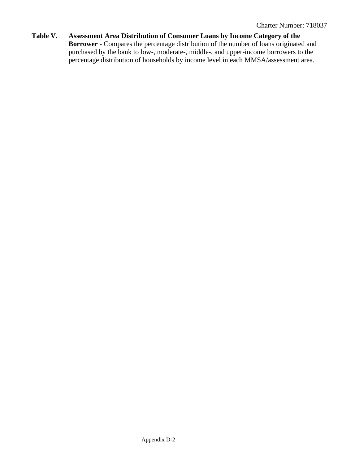**Table V. Assessment Area Distribution of Consumer Loans by Income Category of the Borrower** - Compares the percentage distribution of the number of loans originated and purchased by the bank to low-, moderate-, middle-, and upper-income borrowers to the percentage distribution of households by income level in each MMSA/assessment area.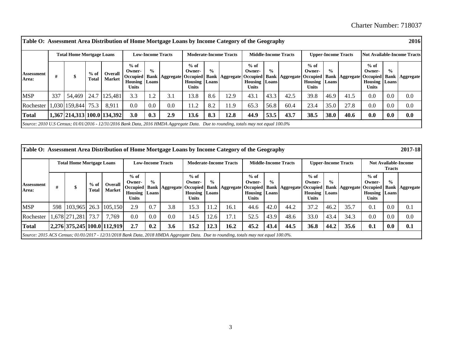Charter Number: 718037

| Table O: Assessment Area Distribution of Home Mortgage Loans by Income Category of the Geography                                   |     |                                  |                 |                                 |                                               |                          |                                               |                                             |                               |                               |                                                                             |               |                                                                  |                                             |                             |                            |                                             |                        | 2016                               |
|------------------------------------------------------------------------------------------------------------------------------------|-----|----------------------------------|-----------------|---------------------------------|-----------------------------------------------|--------------------------|-----------------------------------------------|---------------------------------------------|-------------------------------|-------------------------------|-----------------------------------------------------------------------------|---------------|------------------------------------------------------------------|---------------------------------------------|-----------------------------|----------------------------|---------------------------------------------|------------------------|------------------------------------|
|                                                                                                                                    |     | <b>Total Home Mortgage Loans</b> |                 |                                 |                                               | <b>Low-Income Tracts</b> |                                               |                                             |                               | <b>Moderate-Income Tracts</b> |                                                                             |               | <b>Middle-Income Tracts</b>                                      |                                             |                             | <b>Upper-Income Tracts</b> |                                             |                        | <b>Not Available-Income Tracts</b> |
| <b>Assessment</b><br>Area:                                                                                                         | #   |                                  | $%$ of<br>Total | <b>Overall</b><br><b>Market</b> | $%$ of<br>Owner-<br>Housing  <br><b>Units</b> | $\frac{0}{0}$<br>Loans   | Occupied   Bank   Aggregate   Occupied   Bank | $%$ of<br>Owner-<br><b>Housing</b><br>Units | $\frac{0}{0}$<br><b>Loans</b> | Aggregate                     | $%$ of<br>Owner-<br><b>Occupied</b><br><b>Housing</b> Loans<br><b>Units</b> | $\frac{0}{0}$ | Bank   Aggregate   Occupied   Bank   Aggregate   Occupied   Bank | $%$ of<br>Owner-<br>Housing<br><b>Units</b> | $\frac{0}{\alpha}$<br>Loans |                            | $%$ of<br>Owner-<br><b>Housing</b><br>Units | $\frac{0}{0}$<br>Loans | <b>Aggregate</b>                   |
| <b>MSP</b>                                                                                                                         | 337 | 54.469                           | 24.7            | 125,481                         | 3.3                                           | 1.2                      | 3.1                                           | 13.8                                        | 8.6                           | 12.9                          | 43.1                                                                        | 43.3          | 42.5                                                             | 39.8                                        | 46.9                        | 41.5                       | 0.0                                         | 0.0                    | 0.0                                |
| Rochester                                                                                                                          |     | ,030 159,844                     | 75.3            | 8.911                           | 0.0                                           | 0.0                      | 0.0                                           | 11.2                                        | 8.2                           | 11.9                          | 65.3                                                                        | 56.8          | 60.4                                                             | 23.4                                        | 35.0                        | 27.8                       | $0.0^{\circ}$                               | 0.0                    | 0.0                                |
| <b>Total</b>                                                                                                                       |     |                                  |                 | 1,367 214,313 100.0 134,392     | 3.0                                           | 0.3                      | 2.9                                           | 13.6                                        | 8.3                           | 12.8                          | 44.9                                                                        | 53.5          | 43.7                                                             | 38.5                                        | <b>38.0</b>                 | 40.6                       | 0.0                                         | 0.0                    | 0.0                                |
| Source: 2010 U.S Census; 01/01/2016 - 12/31/2016 Bank Data, 2016 HMDA Aggregate Data. Due to rounding, totals may not equal 100.0% |     |                                  |                 |                                 |                                               |                          |                                               |                                             |                               |                               |                                                                             |               |                                                                  |                                             |                             |                            |                                             |                        |                                    |

| Table O: Assessment Area Distribution of Home Mortgage Loans by Income Category of the Geography                                    |     |                                  |                 |                                 |                                                          |                          |                                        |                                        |                        |                               |                                                   |               |                                               |                                             |                         |                            |                                                   |               | 2017-18                                                   |
|-------------------------------------------------------------------------------------------------------------------------------------|-----|----------------------------------|-----------------|---------------------------------|----------------------------------------------------------|--------------------------|----------------------------------------|----------------------------------------|------------------------|-------------------------------|---------------------------------------------------|---------------|-----------------------------------------------|---------------------------------------------|-------------------------|----------------------------|---------------------------------------------------|---------------|-----------------------------------------------------------|
|                                                                                                                                     |     | <b>Total Home Mortgage Loans</b> |                 |                                 |                                                          | <b>Low-Income Tracts</b> |                                        |                                        |                        | <b>Moderate-Income Tracts</b> |                                                   |               | <b>Middle-Income Tracts</b>                   |                                             |                         | <b>Upper-Income Tracts</b> |                                                   | <b>Tracts</b> | <b>Not Available-Income</b>                               |
| <b>Assessment</b><br>Area:                                                                                                          |     | ሐ                                | $%$ of<br>Total | <b>Overall</b><br><b>Market</b> | $%$ of<br>Owner-<br><b>Housing Loans</b><br><b>Units</b> | $\frac{0}{\alpha}$       | Occupied   Bank   Aggregate   Occupied | $%$ of<br>Owner-<br>Housing  <br>Units | $\frac{0}{0}$<br>Loans |                               | $%$ of<br>Owner-<br><b>Housing Loans</b><br>Units | $\frac{0}{0}$ | <b>Bank Aggregate Occupied Bank Aggregate</b> | $%$ of<br>Owner-<br>Housing<br><b>Units</b> | $\frac{6}{10}$<br>Loans |                            | $%$ of<br>Owner-<br><b>Housing</b> Loans<br>Units | $\frac{0}{0}$ | Occupied   Bank   Aggregate   Occupied   Bank   Aggregate |
| <b>MSP</b>                                                                                                                          | 598 |                                  |                 | 103,965 26.3 105,150            | 2.9                                                      | 0.7                      | 3.8                                    | .5.3                                   | 11.2                   | 16.1                          | 44.6                                              | 42.0          | 44.2                                          | 37.2                                        | 46.2                    | 35.7                       | 0.1                                               | 0.0           | 0.1                                                       |
| Rochester                                                                                                                           |     | 1,678 271,281                    | 73.7            | 7.769                           | 0.0                                                      | 0.0                      | 0.0                                    | 14.5                                   | 12.6                   | 17.1                          | 52.5                                              | 43.9          | 48.6                                          | 33.0                                        | 43.4                    | 34.3                       | 0.0                                               | 0.0           | 0.0                                                       |
| <b>Total</b>                                                                                                                        |     |                                  |                 | 2,276 375,245 100.0 112,919     | 2.7                                                      | 0.2                      | 3.6                                    | 15.2                                   | 12.3                   | 16.2                          | 45.2                                              | 43.4          | 44.5                                          | 36.8                                        | 44.2                    | 35.6                       | 0.1                                               | 0.0           | 0.1                                                       |
| Source: 2015 ACS Census; 01/01/2017 - 12/31/2018 Bank Data, 2018 HMDA Aggregate Data. Due to rounding, totals may not equal 100.0%. |     |                                  |                 |                                 |                                                          |                          |                                        |                                        |                        |                               |                                                   |               |                                               |                                             |                         |                            |                                                   |               |                                                           |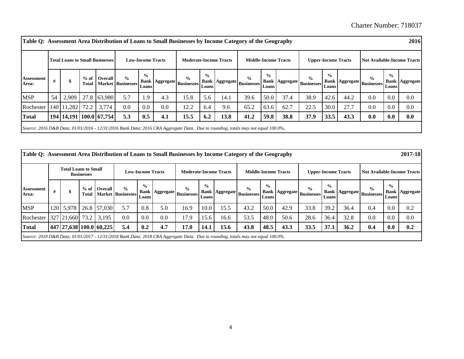| Table Q: Assessment Area Distribution of Loans to Small Businesses by Income Category of the Geography                           |    |                                        |         |              |                                           |                          |                         |                                    |                        |                               |                                                      |                        |                             |                                                      |                         |                            |                                                   |               | 2016                               |
|----------------------------------------------------------------------------------------------------------------------------------|----|----------------------------------------|---------|--------------|-------------------------------------------|--------------------------|-------------------------|------------------------------------|------------------------|-------------------------------|------------------------------------------------------|------------------------|-----------------------------|------------------------------------------------------|-------------------------|----------------------------|---------------------------------------------------|---------------|------------------------------------|
|                                                                                                                                  |    | <b>Total Loans to Small Businesses</b> |         |              |                                           | <b>Low-Income Tracts</b> |                         |                                    |                        | <b>Moderate-Income Tracts</b> |                                                      |                        | <b>Middle-Income Tracts</b> |                                                      |                         | <b>Upper-Income Tracts</b> |                                                   |               | <b>Not Available-Income Tracts</b> |
| <b>Assessment</b><br>Area:                                                                                                       |    | \$                                     | Total I | % of Overall | $\frac{0}{0}$<br><b>Market Businesses</b> | $\frac{0}{0}$<br>Loans   | <b>Bank   Aggregate</b> | $\frac{6}{9}$<br><b>Businesses</b> | $\frac{0}{0}$<br>Loans |                               | $\frac{0}{0}$<br>  Bank   Aggregate   Businesses   ' | $\frac{0}{0}$<br>Loans |                             | $\frac{9}{0}$<br>  Bank   Aggregate   Businesses   " | $\frac{6}{10}$<br>Loans | <b>Bank Aggregate</b>      | $\frac{6}{9}$<br>$\sim$ Businesses $L_{\rm oans}$ | $\frac{6}{9}$ | <b>Bank Aggregate</b>              |
| <b>MSP</b>                                                                                                                       | 54 | 2,909                                  |         | 27.8 63,980  | 5.7                                       | . 9                      | 4.3                     | 15.8                               | 5.6                    | 14.1                          | 39.6                                                 | 50.0                   | 37.4                        | 38.9                                                 | 42.6                    | 44.2                       | 0.0                                               | 0.0           | 0.0                                |
| Rochester                                                                                                                        |    | 140   11,282                           | 72.2    | 3,774        | 0.0                                       | 0.0                      | 0.0                     | 12.2                               | 6.4                    | 9.6                           | 65.2                                                 | 63.6                   | 62.7                        | 22.5                                                 | 30.0                    | 27.7                       | 0.0                                               | 0.0           | 0.0                                |
| <b>Total</b>                                                                                                                     |    | 194 14,191 100.0 67,754                |         |              | 5.3                                       | 0.5                      | 4.1                     | 15.5                               | 6.2                    | 13.8                          | 41.2                                                 | 59.8                   | 38.8                        | 37.9                                                 | 33.5                    | 43.3                       | 0.0                                               | 0.0           | 0.0                                |
| Source: 2016 D&B Data; 01/01/2016 - 12/31/2016 Bank Data; 2016 CRA Aggregate Data. Due to rounding, totals may not equal 100.0%. |    |                                        |         |              |                                           |                          |                         |                                    |                        |                               |                                                      |                        |                             |                                                      |                         |                            |                                                   |               |                                    |

| Table Q: Assessment Area Distribution of Loans to Small Businesses by Income Category of the Geography                           |   |                             |                   |                         |                                           |                          |     |                                                      |                               |                               |                                                      |                        |                             |                                                      |                            |      |                                                      |                        | 2017-18                            |
|----------------------------------------------------------------------------------------------------------------------------------|---|-----------------------------|-------------------|-------------------------|-------------------------------------------|--------------------------|-----|------------------------------------------------------|-------------------------------|-------------------------------|------------------------------------------------------|------------------------|-----------------------------|------------------------------------------------------|----------------------------|------|------------------------------------------------------|------------------------|------------------------------------|
|                                                                                                                                  |   | <b>Total Loans to Small</b> | <b>Businesses</b> |                         |                                           | <b>Low-Income Tracts</b> |     |                                                      |                               | <b>Moderate-Income Tracts</b> |                                                      |                        | <b>Middle-Income Tracts</b> |                                                      | <b>Upper-Income Tracts</b> |      |                                                      |                        | <b>Not Available-Income Tracts</b> |
| Assessment<br>Area:                                                                                                              | # |                             | Total             | % of Overall            | $\frac{6}{9}$<br><b>Market Businesses</b> | $\frac{0}{0}$<br>Loans   |     | $\frac{6}{9}$<br>  Bank   Aggregate   Businesses   ' | $\frac{0}{0}$<br><b>Loans</b> |                               | $\frac{1}{2}$<br>  Bank   Aggregate   Businesses   " | $\frac{0}{0}$<br>Loans |                             | $\frac{0}{0}$<br>  Bank   Aggregate   Businesses   ' | $\frac{0}{0}$<br>Loans     |      | $\frac{0}{0}$<br>  Bank   Aggregate   Businesses   ' | $\frac{0}{0}$<br>Loans | <b>Bank Aggregate</b>              |
| <b>MSP</b>                                                                                                                       |   | 120 5,978                   |                   | 26.8 57,030             | 5.7                                       | 0.8                      | 5.0 | 16.9                                                 | 10.0                          | 15.5                          | 43.2                                                 | 50.0                   | 42.9                        | 33.8                                                 | 39.2                       | 36.4 | 0.4                                                  | 0.0                    | 0.2                                |
| Rochester                                                                                                                        |   | 327 21,660 73.2             |                   | 3.195                   | 0.0                                       | 0.0                      | 0.0 | (7.9)                                                | 15.6                          | 16.6                          | 53.5                                                 | 48.0                   | 50.6                        | 28.6                                                 | 36.4                       | 32.8 | 0.0                                                  | 0.0                    | 0.0                                |
| <b>Total</b>                                                                                                                     |   |                             |                   | 447 27,638 100.0 60,225 | 5.4                                       | 0.2                      | 4.7 | 17.0                                                 | 14.1                          | 15.6                          | 43.8                                                 | 48.5                   | 43.3                        | 33.5                                                 | 37.1                       | 36.2 | 0.4                                                  | 0.0                    | 0.2                                |
| Source: 2018 D&B Data; 01/01/2017 - 12/31/2018 Bank Data; 2018 CRA Aggregate Data. Due to rounding, totals may not equal 100.0%. |   |                             |                   |                         |                                           |                          |     |                                                      |                               |                               |                                                      |                        |                             |                                                      |                            |      |                                                      |                        |                                    |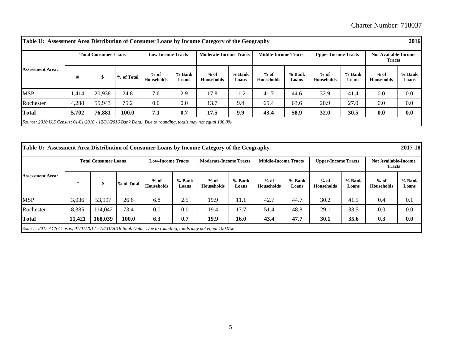| Table U: Assessment Area Distribution of Consumer Loans by Income Category of the Geography                |       |                             |            |                             |                 |                               |                 |                             |                 |                             |                   |                                              | 2016            |
|------------------------------------------------------------------------------------------------------------|-------|-----------------------------|------------|-----------------------------|-----------------|-------------------------------|-----------------|-----------------------------|-----------------|-----------------------------|-------------------|----------------------------------------------|-----------------|
|                                                                                                            |       | <b>Total Consumer Loans</b> |            | <b>Low-Income Tracts</b>    |                 | <b>Moderate-Income Tracts</b> |                 | <b>Middle-Income Tracts</b> |                 | <b>Upper-Income Tracts</b>  |                   | <b>Not Available-Income</b><br><b>Tracts</b> |                 |
| <b>Assessment Area:</b>                                                                                    | #     |                             | % of Total | $%$ of<br><b>Households</b> | % Bank<br>Loans | $%$ of<br><b>Households</b>   | % Bank<br>Loans | $%$ of<br><b>Households</b> | % Bank<br>Loans | $%$ of<br><b>Households</b> | $%$ Bank<br>Loans | $%$ of<br><b>Households</b>                  | % Bank<br>Loans |
| <b>MSP</b>                                                                                                 | 414,  | 20.938                      | 24.8       | 7.6                         | 2.9             | 17.8                          | 11.2            | 41.7                        | 44.6            | 32.9                        | 41.4              | 0.0                                          | 0.0             |
| Rochester                                                                                                  | 4,288 | 55,943                      | 75.2       | 0.0                         | 0.0             | 13.7                          | 9.4             | 65.4                        | 63.6            | 20.9                        | 27.0              | 0.0                                          | 0.0             |
| <b>Total</b>                                                                                               | 5,702 | 76,881                      | 100.0      | 7.1                         | 0.7             | 17.5                          | 9.9             | 43.4                        | 58.9            | 32.0                        | 30.5              | 0.0                                          | 0.0             |
| Source: 2010 U.S Census; $01/01/2016 - 12/31/2016$ Bank Data. Due to rounding, totals may not equal 100.0% |       |                             |            |                             |                 |                               |                 |                             |                 |                             |                   |                                              |                 |

| Table U: Assessment Area Distribution of Consumer Loans by Income Category of the Geography                 |        |                             |            |                             |                 |                               |                 |                             |                   |                             |                   |                                              | 2017-18           |
|-------------------------------------------------------------------------------------------------------------|--------|-----------------------------|------------|-----------------------------|-----------------|-------------------------------|-----------------|-----------------------------|-------------------|-----------------------------|-------------------|----------------------------------------------|-------------------|
|                                                                                                             |        | <b>Total Consumer Loans</b> |            | <b>Low-Income Tracts</b>    |                 | <b>Moderate-Income Tracts</b> |                 | <b>Middle-Income Tracts</b> |                   | <b>Upper-Income Tracts</b>  |                   | <b>Not Available-Income</b><br><b>Tracts</b> |                   |
| <b>Assessment Area:</b>                                                                                     | #      | \$                          | % of Total | $%$ of<br><b>Households</b> | % Bank<br>Loans | $%$ of<br><b>Households</b>   | % Bank<br>Loans | $%$ of<br><b>Households</b> | $%$ Bank<br>Loans | $%$ of<br><b>Households</b> | $%$ Bank<br>Loans | $%$ of<br><b>Households</b>                  | $%$ Bank<br>Loans |
| <b>MSP</b>                                                                                                  | 3,036  | 53,997                      | 26.6       | 6.8                         | 2.5             | 19.9                          | 11.1            | 42.7                        | 44.7              | 30.2                        | 41.5              | 0.4                                          | 0.1               |
| Rochester                                                                                                   | 8,385  | 114,042                     | 73.4       | 0.0                         | 0.0             | 19.4                          | 17.7            | 51.4                        | 48.8              | 29.1                        | 33.5              | 0.0                                          | 0.0               |
| <b>Total</b>                                                                                                | 11,421 | 168,039                     | 100.0      | 6.3                         | 0.7             | 19.9                          | 16.0            | 43.4                        | 47.7              | 30.1                        | 35.6              | 0.3                                          | 0.0               |
| Source: 2015 ACS Census; $01/01/2017 - 12/31/2018$ Bank Data. Due to rounding, totals may not equal 100.0%. |        |                             |            |                             |                 |                               |                 |                             |                   |                             |                   |                                              |                   |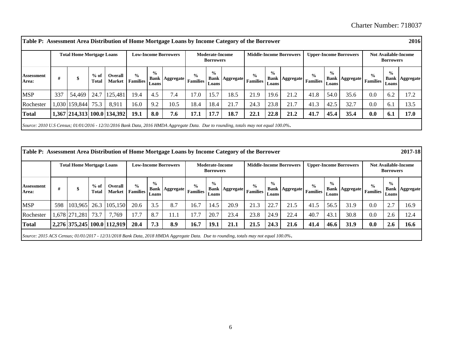|                            |     | <b>Total Home Mortgage Loans</b> |                        |                                   |                                  |                        | <b>Low-Income Borrowers</b> |               | <b>Moderate-Income</b><br><b>Borrowers</b> |                             |                |                        | <b>Middle-Income Borrowers</b> |               |                        | <b>Upper-Income Borrowers</b> |                | <b>Borrowers</b>       | <b>Not Available-Income</b> |
|----------------------------|-----|----------------------------------|------------------------|-----------------------------------|----------------------------------|------------------------|-----------------------------|---------------|--------------------------------------------|-----------------------------|----------------|------------------------|--------------------------------|---------------|------------------------|-------------------------------|----------------|------------------------|-----------------------------|
| <b>Assessment</b><br>Area: | #   |                                  | $%$ of<br><b>Total</b> | Overall<br><b>Market</b>          | $\frac{6}{9}$<br><b>Families</b> | $\frac{0}{0}$<br>Loans | Bank   Aggregate   Families | $\frac{6}{6}$ | $\frac{0}{0}$<br>Loans                     | Bank   Aggregate   Families | $\frac{6}{10}$ | $\frac{0}{0}$<br>Loans | Bank   Aggregate   Families    | $\frac{0}{0}$ | $\frac{6}{9}$<br>Loans | Bank   Aggregate   Families   | $\frac{6}{10}$ | $\frac{0}{0}$<br>Loans | <b>Bank   Aggregate</b>     |
| <b>MSP</b>                 | 337 | 54,469                           | 24.7                   | 125,481                           | 19.4                             | 4.5                    | 7.4                         | 17.0          | 15.7                                       | 18.5                        | 21.9           | 19.6                   | 21.2                           | 41.8          | 54.0                   | 35.6                          | 0.0            | 6.2                    | 17.2                        |
| Rochester                  |     | 1,030 159,844 75.3               |                        | 8,911                             | 16.0                             | 9.2                    | 10.5                        | 18.4          | 18.4                                       | 21.7                        | 24.3           | 23.8                   | 21.7                           | 41.3          | 42.5                   | 32.7                          | 0.0            | 6.1                    | 13.5                        |
| <b>Total</b>               |     |                                  |                        | 1,367   214,313   100.0   134,392 | 19.1                             | 8.0                    | 7.6                         | 17.1          | 17.7                                       | 18.7                        | 22.1           | 22.8                   | 21.2                           | 41.7          | 45.4                   | 35.4                          | 0.0            | 6.1                    | 17.0                        |

|                            |     | <b>Total Home Mortgage Loans</b> |                 |                             |                                  |                        | <b>Low-Income Borrowers</b> |               | <b>Moderate-Income</b><br><b>Borrowers</b> |                                 |               |                        | <b>Middle-Income Borrowers</b> |               |                        | <b>Upper-Income Borrowers</b>   |               | <b>Borrowers</b>       | <b>Not Available-Income</b> |
|----------------------------|-----|----------------------------------|-----------------|-----------------------------|----------------------------------|------------------------|-----------------------------|---------------|--------------------------------------------|---------------------------------|---------------|------------------------|--------------------------------|---------------|------------------------|---------------------------------|---------------|------------------------|-----------------------------|
| <b>Assessment</b><br>Area: | #   |                                  | $%$ of<br>Total | Overall<br><b>Market</b>    | $\frac{6}{9}$<br><b>Families</b> | $\frac{0}{0}$<br>Loans | Bank   Aggregate   Families | $\frac{0}{0}$ | $\frac{0}{0}$<br>Loans                     | Bank   Aggregate   Families   ' | $\frac{6}{9}$ | $\frac{0}{0}$<br>Loans | Bank   Aggregate   Families    | $\frac{0}{0}$ | $\frac{0}{0}$<br>Loans | Bank   Aggregate   Families   ' | $\frac{0}{0}$ | $\frac{0}{0}$<br>Loans | <b>Bank   Aggregate</b>     |
| <b>MSP</b>                 | 598 |                                  |                 | 103,965 26.3 105,150        | 20.6                             | 3.5                    | 8.7                         | 16.7          | 14.5                                       | 20.9                            | 21.3          | 22.7                   | 21.5                           | 41.5          | 56.5                   | 31.9                            | 0.0           | $\Omega$               | 16.9                        |
| Rochester                  |     | 1,678 271,281                    | 73.7            | 7,769                       | 17.7                             | 8.7                    | 11.1                        | 17.7          | 20.7                                       | 23.4                            | 23.8          | 24.9                   | 22.4                           | 40.7          | 43.1                   | 30.8                            | 0.0           | 2.6                    | 12.4                        |
| <b>Total</b>               |     |                                  |                 | 2,276 375,245 100.0 112,919 | 20.4                             | 7.3                    | 8.9                         | 16.7          | 19.1                                       | 21.1                            | 21.5          | 24.3                   | 21.6                           | 41.4          | 46.6                   | 31.9                            | 0.0           | 2.6                    | 16.6                        |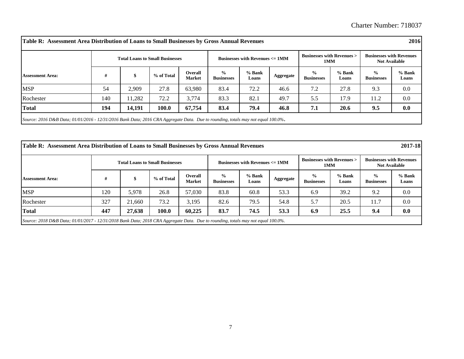|                         |     |        | <b>Businesses with Revenues &gt;</b><br><b>Businesses with Revenues <math>\leq 1</math> MM</b><br><b>Total Loans to Small Businesses</b><br>1MM |                                 |                                    |                   |           |                                    | <b>Businesses with Revenues</b><br><b>Not Available</b> |                                    |                   |
|-------------------------|-----|--------|-------------------------------------------------------------------------------------------------------------------------------------------------|---------------------------------|------------------------------------|-------------------|-----------|------------------------------------|---------------------------------------------------------|------------------------------------|-------------------|
| <b>Assessment Area:</b> | #   | S      | % of Total                                                                                                                                      | <b>Overall</b><br><b>Market</b> | $\frac{6}{9}$<br><b>Businesses</b> | $%$ Bank<br>Loans | Aggregate | $\frac{0}{0}$<br><b>Businesses</b> | % Bank<br>Loans                                         | $\frac{6}{6}$<br><b>Businesses</b> | $%$ Bank<br>Loans |
| <b>MSP</b>              | 54  | 2,909  | 27.8                                                                                                                                            | 63,980                          | 83.4                               | 72.2              | 46.6      | 7.2                                | 27.8                                                    | 9.3                                | 0.0               |
| Rochester               | 140 | 11.282 | 72.2                                                                                                                                            | 3,774                           | 83.3                               | 82.1              | 49.7      | 5.5                                | 17.9                                                    | 11.2                               | 0.0               |
| <b>Total</b>            | 194 | 14,191 | 100.0                                                                                                                                           | 67,754                          | 83.4                               | 79.4              | 46.8      | 7.1                                | 20.6                                                    | 9.5                                | 0.0               |

| 2017-18<br>Table R: Assessment Area Distribution of Loans to Small Businesses by Gross Annual Revenues |                                                                                                                                  |        |                                        |                          |                                    |                                           |           |                                             |                 |                                                         |                   |  |  |
|--------------------------------------------------------------------------------------------------------|----------------------------------------------------------------------------------------------------------------------------------|--------|----------------------------------------|--------------------------|------------------------------------|-------------------------------------------|-----------|---------------------------------------------|-----------------|---------------------------------------------------------|-------------------|--|--|
|                                                                                                        |                                                                                                                                  |        | <b>Total Loans to Small Businesses</b> |                          |                                    | Businesses with Revenues $\epsilon$ = 1MM |           | <b>Businesses with Revenues &gt;</b><br>1MM |                 | <b>Businesses with Revenues</b><br><b>Not Available</b> |                   |  |  |
| <b>Assessment Area:</b>                                                                                | #                                                                                                                                |        | % of Total                             | Overall<br><b>Market</b> | $\frac{0}{0}$<br><b>Businesses</b> | $%$ Bank<br>Loans                         | Aggregate | $\frac{0}{0}$<br><b>Businesses</b>          | % Bank<br>Loans | $\frac{0}{0}$<br><b>Businesses</b>                      | $%$ Bank<br>Loans |  |  |
| <b>MSP</b>                                                                                             | 120                                                                                                                              | 5,978  | 26.8                                   | 57,030                   | 83.8                               | 60.8                                      | 53.3      | 6.9                                         | 39.2            | 9.2                                                     | 0.0               |  |  |
| Rochester                                                                                              | 327                                                                                                                              | 21.660 | 73.2                                   | 3,195                    | 82.6                               | 79.5                                      | 54.8      | 5.7                                         | 20.5            | 11.7                                                    | 0.0               |  |  |
| <b>Total</b>                                                                                           | 447                                                                                                                              | 27,638 | 100.0                                  | 60.225                   | 83.7                               | 74.5                                      | 53.3      | 6.9                                         | 25.5            | 9.4                                                     | 0.0               |  |  |
|                                                                                                        | Source: 2018 D&B Data; 01/01/2017 - 12/31/2018 Bank Data; 2018 CRA Aggregate Data. Due to rounding, totals may not equal 100.0%. |        |                                        |                          |                                    |                                           |           |                                             |                 |                                                         |                   |  |  |